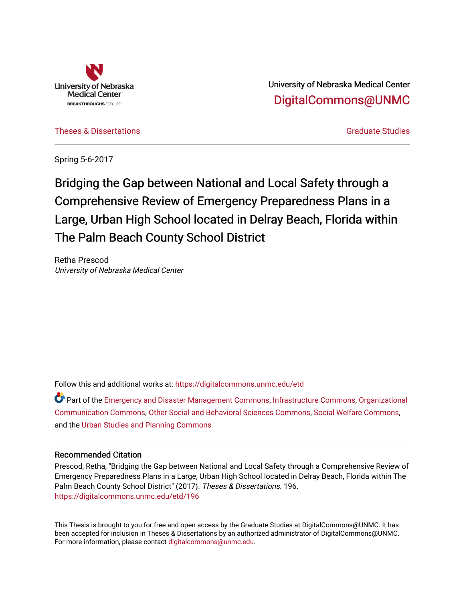

University of Nebraska Medical Center [DigitalCommons@UNMC](https://digitalcommons.unmc.edu/) 

[Theses & Dissertations](https://digitalcommons.unmc.edu/etd) [Graduate Studies](https://digitalcommons.unmc.edu/grad_studies) and Graduate Studies of the Graduate Studies of Graduate Studies and Graduate Studies

Spring 5-6-2017

Bridging the Gap between National and Local Safety through a Comprehensive Review of Emergency Preparedness Plans in a Large, Urban High School located in Delray Beach, Florida within The Palm Beach County School District

Retha Prescod University of Nebraska Medical Center

Follow this and additional works at: [https://digitalcommons.unmc.edu/etd](https://digitalcommons.unmc.edu/etd?utm_source=digitalcommons.unmc.edu%2Fetd%2F196&utm_medium=PDF&utm_campaign=PDFCoverPages)

Part of the [Emergency and Disaster Management Commons,](http://network.bepress.com/hgg/discipline/1321?utm_source=digitalcommons.unmc.edu%2Fetd%2F196&utm_medium=PDF&utm_campaign=PDFCoverPages) [Infrastructure Commons](http://network.bepress.com/hgg/discipline/1066?utm_source=digitalcommons.unmc.edu%2Fetd%2F196&utm_medium=PDF&utm_campaign=PDFCoverPages), [Organizational](http://network.bepress.com/hgg/discipline/335?utm_source=digitalcommons.unmc.edu%2Fetd%2F196&utm_medium=PDF&utm_campaign=PDFCoverPages)  [Communication Commons](http://network.bepress.com/hgg/discipline/335?utm_source=digitalcommons.unmc.edu%2Fetd%2F196&utm_medium=PDF&utm_campaign=PDFCoverPages), [Other Social and Behavioral Sciences Commons,](http://network.bepress.com/hgg/discipline/437?utm_source=digitalcommons.unmc.edu%2Fetd%2F196&utm_medium=PDF&utm_campaign=PDFCoverPages) [Social Welfare Commons,](http://network.bepress.com/hgg/discipline/401?utm_source=digitalcommons.unmc.edu%2Fetd%2F196&utm_medium=PDF&utm_campaign=PDFCoverPages) and the [Urban Studies and Planning Commons](http://network.bepress.com/hgg/discipline/436?utm_source=digitalcommons.unmc.edu%2Fetd%2F196&utm_medium=PDF&utm_campaign=PDFCoverPages) 

## Recommended Citation

Prescod, Retha, "Bridging the Gap between National and Local Safety through a Comprehensive Review of Emergency Preparedness Plans in a Large, Urban High School located in Delray Beach, Florida within The Palm Beach County School District" (2017). Theses & Dissertations. 196. [https://digitalcommons.unmc.edu/etd/196](https://digitalcommons.unmc.edu/etd/196?utm_source=digitalcommons.unmc.edu%2Fetd%2F196&utm_medium=PDF&utm_campaign=PDFCoverPages)

This Thesis is brought to you for free and open access by the Graduate Studies at DigitalCommons@UNMC. It has been accepted for inclusion in Theses & Dissertations by an authorized administrator of DigitalCommons@UNMC. For more information, please contact [digitalcommons@unmc.edu](mailto:digitalcommons@unmc.edu).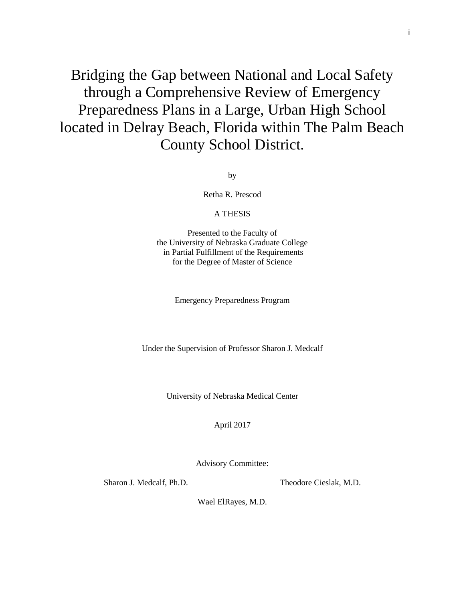Bridging the Gap between National and Local Safety through a Comprehensive Review of Emergency Preparedness Plans in a Large, Urban High School located in Delray Beach, Florida within The Palm Beach County School District.

by

Retha R. Prescod

## A THESIS

Presented to the Faculty of the University of Nebraska Graduate College in Partial Fulfillment of the Requirements for the Degree of Master of Science

Emergency Preparedness Program

Under the Supervision of Professor Sharon J. Medcalf

University of Nebraska Medical Center

April 2017

Advisory Committee:

Sharon J. Medcalf, Ph.D. Theodore Cieslak, M.D.

Wael ElRayes, M.D.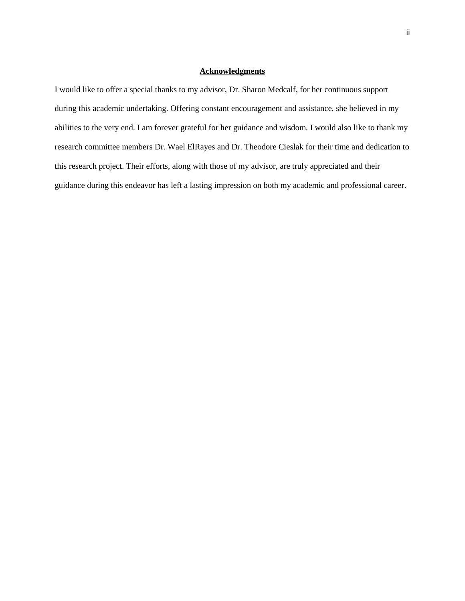## **Acknowledgments**

I would like to offer a special thanks to my advisor, Dr. Sharon Medcalf, for her continuous support during this academic undertaking. Offering constant encouragement and assistance, she believed in my abilities to the very end. I am forever grateful for her guidance and wisdom. I would also like to thank my research committee members Dr. Wael ElRayes and Dr. Theodore Cieslak for their time and dedication to this research project. Their efforts, along with those of my advisor, are truly appreciated and their guidance during this endeavor has left a lasting impression on both my academic and professional career.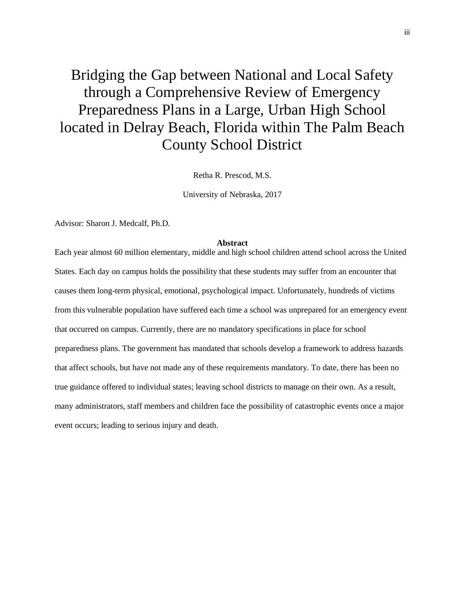# Bridging the Gap between National and Local Safety through a Comprehensive Review of Emergency Preparedness Plans in a Large, Urban High School located in Delray Beach, Florida within The Palm Beach County School District

Retha R. Prescod, M.S.

University of Nebraska, 2017

Advisor: Sharon J. Medcalf, Ph.D.

#### **Abstract**

Each year almost 60 million elementary, middle and high school children attend school across the United States. Each day on campus holds the possibility that these students may suffer from an encounter that causes them long-term physical, emotional, psychological impact. Unfortunately, hundreds of victims from this vulnerable population have suffered each time a school was unprepared for an emergency event that occurred on campus. Currently, there are no mandatory specifications in place for school preparedness plans. The government has mandated that schools develop a framework to address hazards that affect schools, but have not made any of these requirements mandatory. To date, there has been no true guidance offered to individual states; leaving school districts to manage on their own. As a result, many administrators, staff members and children face the possibility of catastrophic events once a major event occurs; leading to serious injury and death.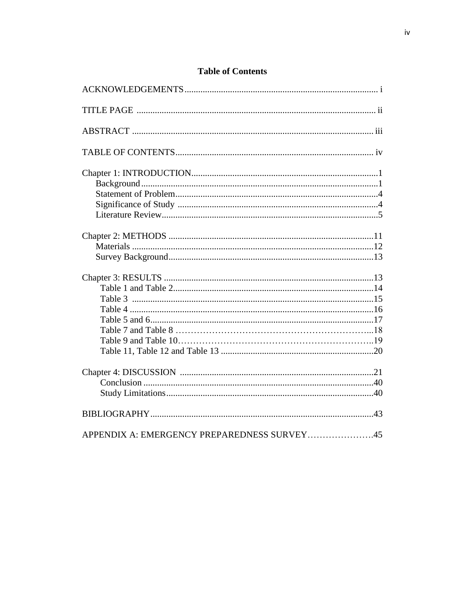| APPENDIX A: EMERGENCY PREPAREDNESS SURVEY45 |  |
|---------------------------------------------|--|

## **Table of Contents**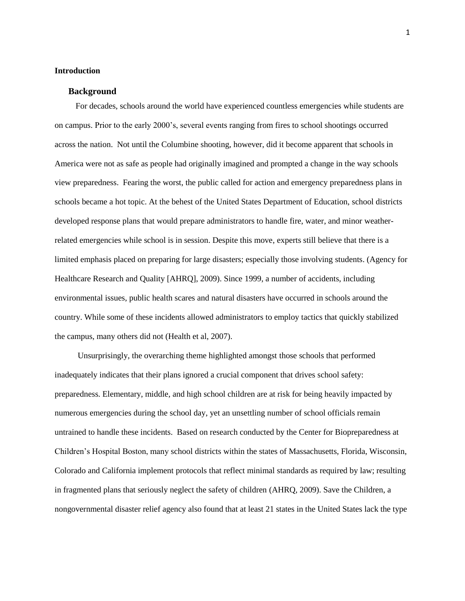## **Introduction**

## **Background**

 For decades, schools around the world have experienced countless emergencies while students are on campus. Prior to the early 2000's, several events ranging from fires to school shootings occurred across the nation. Not until the Columbine shooting, however, did it become apparent that schools in America were not as safe as people had originally imagined and prompted a change in the way schools view preparedness. Fearing the worst, the public called for action and emergency preparedness plans in schools became a hot topic. At the behest of the United States Department of Education, school districts developed response plans that would prepare administrators to handle fire, water, and minor weatherrelated emergencies while school is in session. Despite this move, experts still believe that there is a limited emphasis placed on preparing for large disasters; especially those involving students. (Agency for Healthcare Research and Quality [AHRQ], 2009). Since 1999, a number of accidents, including environmental issues, public health scares and natural disasters have occurred in schools around the country. While some of these incidents allowed administrators to employ tactics that quickly stabilized the campus, many others did not (Health et al, 2007).

 Unsurprisingly, the overarching theme highlighted amongst those schools that performed inadequately indicates that their plans ignored a crucial component that drives school safety: preparedness. Elementary, middle, and high school children are at risk for being heavily impacted by numerous emergencies during the school day, yet an unsettling number of school officials remain untrained to handle these incidents. Based on research conducted by the Center for Biopreparedness at Children's Hospital Boston, many school districts within the states of Massachusetts, Florida, Wisconsin, Colorado and California implement protocols that reflect minimal standards as required by law; resulting in fragmented plans that seriously neglect the safety of children (AHRQ, 2009). Save the Children, a nongovernmental disaster relief agency also found that at least 21 states in the United States lack the type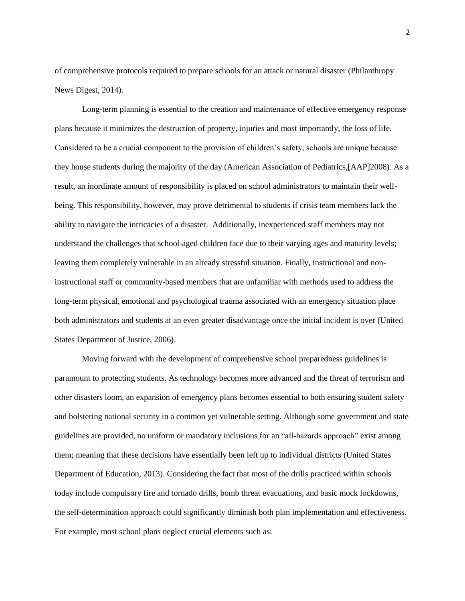of comprehensive protocols required to prepare schools for an attack or natural disaster (Philanthropy News Digest, 2014).

Long-term planning is essential to the creation and maintenance of effective emergency response plans because it minimizes the destruction of property, injuries and most importantly, the loss of life. Considered to be a crucial component to the provision of children's safety, schools are unique because they house students during the majority of the day (American Association of Pediatrics,[AAP]2008). As a result, an inordinate amount of responsibility is placed on school administrators to maintain their wellbeing. This responsibility, however, may prove detrimental to students if crisis team members lack the ability to navigate the intricacies of a disaster. Additionally, inexperienced staff members may not understand the challenges that school-aged children face due to their varying ages and maturity levels; leaving them completely vulnerable in an already stressful situation. Finally, instructional and noninstructional staff or community-based members that are unfamiliar with methods used to address the long-term physical, emotional and psychological trauma associated with an emergency situation place both administrators and students at an even greater disadvantage once the initial incident is over (United States Department of Justice, 2006).

 Moving forward with the development of comprehensive school preparedness guidelines is paramount to protecting students. As technology becomes more advanced and the threat of terrorism and other disasters loom, an expansion of emergency plans becomes essential to both ensuring student safety and bolstering national security in a common yet vulnerable setting. Although some government and state guidelines are provided, no uniform or mandatory inclusions for an "all-hazards approach" exist among them; meaning that these decisions have essentially been left up to individual districts (United States Department of Education, 2013). Considering the fact that most of the drills practiced within schools today include compulsory fire and tornado drills, bomb threat evacuations, and basic mock lockdowns, the self-determination approach could significantly diminish both plan implementation and effectiveness. For example, most school plans neglect crucial elements such as: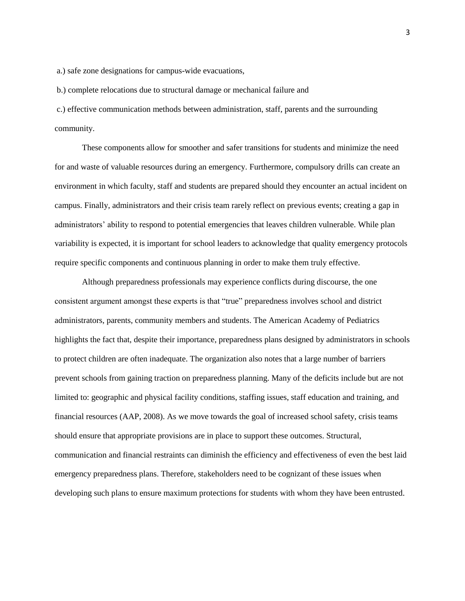a.) safe zone designations for campus-wide evacuations,

b.) complete relocations due to structural damage or mechanical failure and

c.) effective communication methods between administration, staff, parents and the surrounding community.

 These components allow for smoother and safer transitions for students and minimize the need for and waste of valuable resources during an emergency. Furthermore, compulsory drills can create an environment in which faculty, staff and students are prepared should they encounter an actual incident on campus. Finally, administrators and their crisis team rarely reflect on previous events; creating a gap in administrators' ability to respond to potential emergencies that leaves children vulnerable. While plan variability is expected, it is important for school leaders to acknowledge that quality emergency protocols require specific components and continuous planning in order to make them truly effective.

 Although preparedness professionals may experience conflicts during discourse, the one consistent argument amongst these experts is that "true" preparedness involves school and district administrators, parents, community members and students. The American Academy of Pediatrics highlights the fact that, despite their importance, preparedness plans designed by administrators in schools to protect children are often inadequate. The organization also notes that a large number of barriers prevent schools from gaining traction on preparedness planning. Many of the deficits include but are not limited to: geographic and physical facility conditions, staffing issues, staff education and training, and financial resources (AAP, 2008). As we move towards the goal of increased school safety, crisis teams should ensure that appropriate provisions are in place to support these outcomes. Structural, communication and financial restraints can diminish the efficiency and effectiveness of even the best laid emergency preparedness plans. Therefore, stakeholders need to be cognizant of these issues when developing such plans to ensure maximum protections for students with whom they have been entrusted.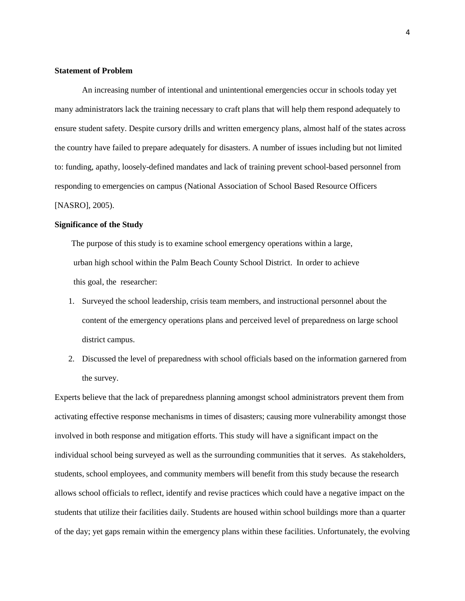## **Statement of Problem**

 An increasing number of intentional and unintentional emergencies occur in schools today yet many administrators lack the training necessary to craft plans that will help them respond adequately to ensure student safety. Despite cursory drills and written emergency plans, almost half of the states across the country have failed to prepare adequately for disasters. A number of issues including but not limited to: funding, apathy, loosely-defined mandates and lack of training prevent school-based personnel from responding to emergencies on campus (National Association of School Based Resource Officers [NASRO], 2005).

## **Significance of the Study**

The purpose of this study is to examine school emergency operations within a large, urban high school within the Palm Beach County School District. In order to achieve this goal, the researcher:

- 1. Surveyed the school leadership, crisis team members, and instructional personnel about the content of the emergency operations plans and perceived level of preparedness on large school district campus.
- 2. Discussed the level of preparedness with school officials based on the information garnered from the survey.

Experts believe that the lack of preparedness planning amongst school administrators prevent them from activating effective response mechanisms in times of disasters; causing more vulnerability amongst those involved in both response and mitigation efforts. This study will have a significant impact on the individual school being surveyed as well as the surrounding communities that it serves. As stakeholders, students, school employees, and community members will benefit from this study because the research allows school officials to reflect, identify and revise practices which could have a negative impact on the students that utilize their facilities daily. Students are housed within school buildings more than a quarter of the day; yet gaps remain within the emergency plans within these facilities. Unfortunately, the evolving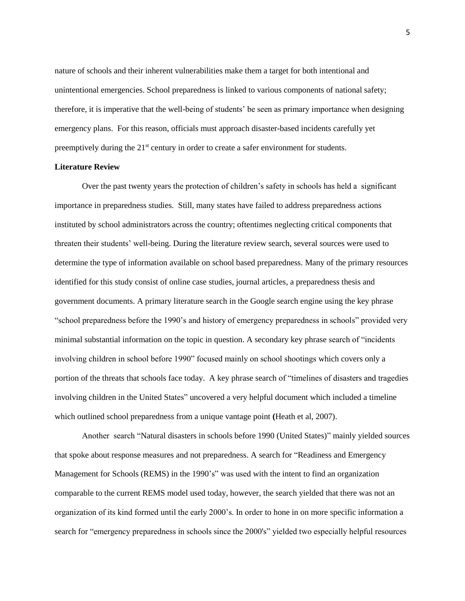nature of schools and their inherent vulnerabilities make them a target for both intentional and unintentional emergencies. School preparedness is linked to various components of national safety; therefore, it is imperative that the well-being of students' be seen as primary importance when designing emergency plans. For this reason, officials must approach disaster-based incidents carefully yet preemptively during the 21<sup>st</sup> century in order to create a safer environment for students.

## **Literature Review**

 Over the past twenty years the protection of children's safety in schools has held a significant importance in preparedness studies. Still, many states have failed to address preparedness actions instituted by school administrators across the country; oftentimes neglecting critical components that threaten their students' well-being. During the literature review search, several sources were used to determine the type of information available on school based preparedness. Many of the primary resources identified for this study consist of online case studies, journal articles, a preparedness thesis and government documents. A primary literature search in the Google search engine using the key phrase "school preparedness before the 1990's and history of emergency preparedness in schools" provided very minimal substantial information on the topic in question. A secondary key phrase search of "incidents involving children in school before 1990" focused mainly on school shootings which covers only a portion of the threats that schools face today. A key phrase search of "timelines of disasters and tragedies involving children in the United States" uncovered a very helpful document which included a timeline which outlined school preparedness from a unique vantage point **(**Heath et al, 2007).

 Another search "Natural disasters in schools before 1990 (United States)" mainly yielded sources that spoke about response measures and not preparedness. A search for "Readiness and Emergency Management for Schools (REMS) in the 1990's" was used with the intent to find an organization comparable to the current REMS model used today, however, the search yielded that there was not an organization of its kind formed until the early 2000's. In order to hone in on more specific information a search for "emergency preparedness in schools since the 2000's" yielded two especially helpful resources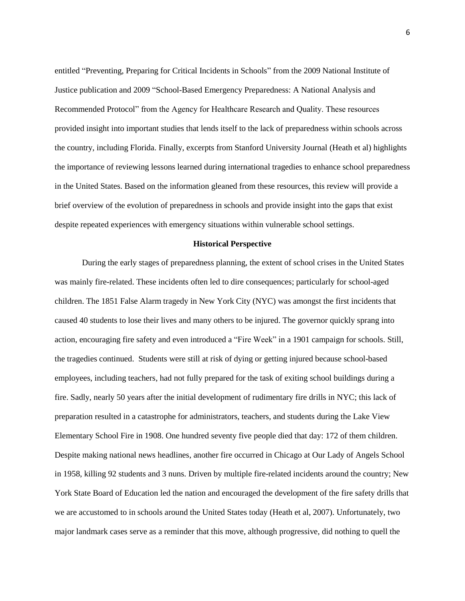entitled "Preventing, Preparing for Critical Incidents in Schools" from the 2009 National Institute of Justice publication and 2009 "School-Based Emergency Preparedness: A National Analysis and Recommended Protocol" from the Agency for Healthcare Research and Quality. These resources provided insight into important studies that lends itself to the lack of preparedness within schools across the country, including Florida. Finally, excerpts from Stanford University Journal (Heath et al) highlights the importance of reviewing lessons learned during international tragedies to enhance school preparedness in the United States. Based on the information gleaned from these resources, this review will provide a brief overview of the evolution of preparedness in schools and provide insight into the gaps that exist despite repeated experiences with emergency situations within vulnerable school settings.

#### **Historical Perspective**

 During the early stages of preparedness planning, the extent of school crises in the United States was mainly fire-related. These incidents often led to dire consequences; particularly for school-aged children. The 1851 False Alarm tragedy in New York City (NYC) was amongst the first incidents that caused 40 students to lose their lives and many others to be injured. The governor quickly sprang into action, encouraging fire safety and even introduced a "Fire Week" in a 1901 campaign for schools. Still, the tragedies continued. Students were still at risk of dying or getting injured because school-based employees, including teachers, had not fully prepared for the task of exiting school buildings during a fire. Sadly, nearly 50 years after the initial development of rudimentary fire drills in NYC; this lack of preparation resulted in a catastrophe for administrators, teachers, and students during the Lake View Elementary School Fire in 1908. One hundred seventy five people died that day: 172 of them children. Despite making national news headlines, another fire occurred in Chicago at Our Lady of Angels School in 1958, killing 92 students and 3 nuns. Driven by multiple fire-related incidents around the country; New York State Board of Education led the nation and encouraged the development of the fire safety drills that we are accustomed to in schools around the United States today (Heath et al, 2007). Unfortunately, two major landmark cases serve as a reminder that this move, although progressive, did nothing to quell the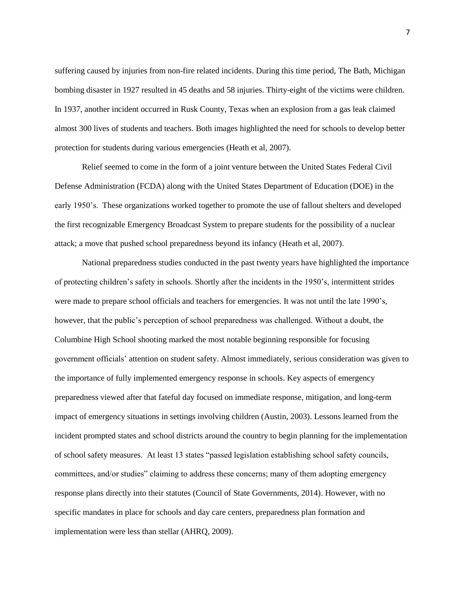suffering caused by injuries from non-fire related incidents. During this time period, The Bath, Michigan bombing disaster in 1927 resulted in 45 deaths and 58 injuries. Thirty-eight of the victims were children. In 1937, another incident occurred in Rusk County, Texas when an explosion from a gas leak claimed almost 300 lives of students and teachers. Both images highlighted the need for schools to develop better protection for students during various emergencies (Heath et al, 2007).

 Relief seemed to come in the form of a joint venture between the United States Federal Civil Defense Administration (FCDA) along with the United States Department of Education (DOE) in the early 1950's. These organizations worked together to promote the use of fallout shelters and developed the first recognizable Emergency Broadcast System to prepare students for the possibility of a nuclear attack; a move that pushed school preparedness beyond its infancy (Heath et al, 2007).

 National preparedness studies conducted in the past twenty years have highlighted the importance of protecting children's safety in schools. Shortly after the incidents in the 1950's, intermittent strides were made to prepare school officials and teachers for emergencies. It was not until the late 1990's, however, that the public's perception of school preparedness was challenged. Without a doubt, the Columbine High School shooting marked the most notable beginning responsible for focusing government officials' attention on student safety. Almost immediately, serious consideration was given to the importance of fully implemented emergency response in schools. Key aspects of emergency preparedness viewed after that fateful day focused on immediate response, mitigation, and long-term impact of emergency situations in settings involving children (Austin, 2003). Lessons learned from the incident prompted states and school districts around the country to begin planning for the implementation of school safety measures. At least 13 states "passed legislation establishing school safety councils, committees, and/or studies" claiming to address these concerns; many of them adopting emergency response plans directly into their statutes (Council of State Governments, 2014). However, with no specific mandates in place for schools and day care centers, preparedness plan formation and implementation were less than stellar (AHRQ, 2009).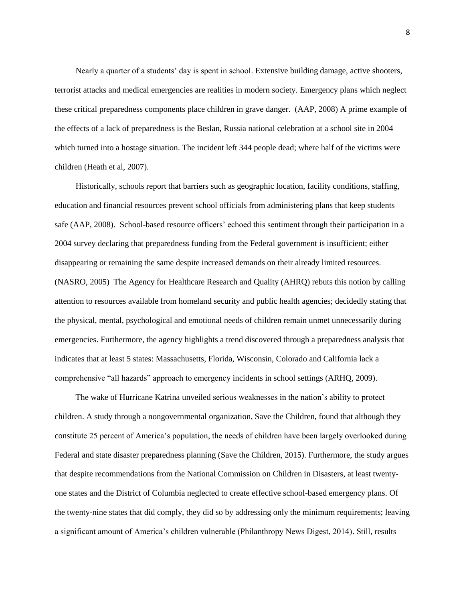Nearly a quarter of a students' day is spent in school. Extensive building damage, active shooters, terrorist attacks and medical emergencies are realities in modern society. Emergency plans which neglect these critical preparedness components place children in grave danger. (AAP, 2008) A prime example of the effects of a lack of preparedness is the Beslan, Russia national celebration at a school site in 2004 which turned into a hostage situation. The incident left 344 people dead; where half of the victims were children (Heath et al, 2007).

 Historically, schools report that barriers such as geographic location, facility conditions, staffing, education and financial resources prevent school officials from administering plans that keep students safe (AAP, 2008). School-based resource officers' echoed this sentiment through their participation in a 2004 survey declaring that preparedness funding from the Federal government is insufficient; either disappearing or remaining the same despite increased demands on their already limited resources. (NASRO, 2005) The Agency for Healthcare Research and Quality (AHRQ) rebuts this notion by calling attention to resources available from homeland security and public health agencies; decidedly stating that the physical, mental, psychological and emotional needs of children remain unmet unnecessarily during emergencies. Furthermore, the agency highlights a trend discovered through a preparedness analysis that indicates that at least 5 states: Massachusetts, Florida, Wisconsin, Colorado and California lack a comprehensive "all hazards" approach to emergency incidents in school settings (ARHQ, 2009).

 The wake of Hurricane Katrina unveiled serious weaknesses in the nation's ability to protect children. A study through a nongovernmental organization, Save the Children, found that although they constitute 25 percent of America's population, the needs of children have been largely overlooked during Federal and state disaster preparedness planning (Save the Children, 2015). Furthermore, the study argues that despite recommendations from the National Commission on Children in Disasters, at least twentyone states and the District of Columbia neglected to create effective school-based emergency plans. Of the twenty-nine states that did comply, they did so by addressing only the minimum requirements; leaving a significant amount of America's children vulnerable (Philanthropy News Digest, 2014). Still, results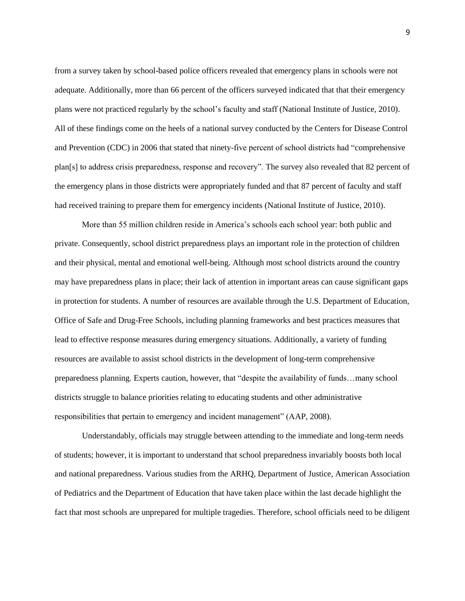from a survey taken by school-based police officers revealed that emergency plans in schools were not adequate. Additionally, more than 66 percent of the officers surveyed indicated that that their emergency plans were not practiced regularly by the school's faculty and staff (National Institute of Justice, 2010). All of these findings come on the heels of a national survey conducted by the Centers for Disease Control and Prevention (CDC) in 2006 that stated that ninety-five percent of school districts had "comprehensive plan[s] to address crisis preparedness, response and recovery". The survey also revealed that 82 percent of the emergency plans in those districts were appropriately funded and that 87 percent of faculty and staff had received training to prepare them for emergency incidents (National Institute of Justice, 2010).

 More than 55 million children reside in America's schools each school year: both public and private. Consequently, school district preparedness plays an important role in the protection of children and their physical, mental and emotional well-being. Although most school districts around the country may have preparedness plans in place; their lack of attention in important areas can cause significant gaps in protection for students. A number of resources are available through the U.S. Department of Education, Office of Safe and Drug-Free Schools, including planning frameworks and best practices measures that lead to effective response measures during emergency situations. Additionally, a variety of funding resources are available to assist school districts in the development of long-term comprehensive preparedness planning. Experts caution, however, that "despite the availability of funds…many school districts struggle to balance priorities relating to educating students and other administrative responsibilities that pertain to emergency and incident management" (AAP, 2008).

 Understandably, officials may struggle between attending to the immediate and long-term needs of students; however, it is important to understand that school preparedness invariably boosts both local and national preparedness. Various studies from the ARHQ, Department of Justice, American Association of Pediatrics and the Department of Education that have taken place within the last decade highlight the fact that most schools are unprepared for multiple tragedies. Therefore, school officials need to be diligent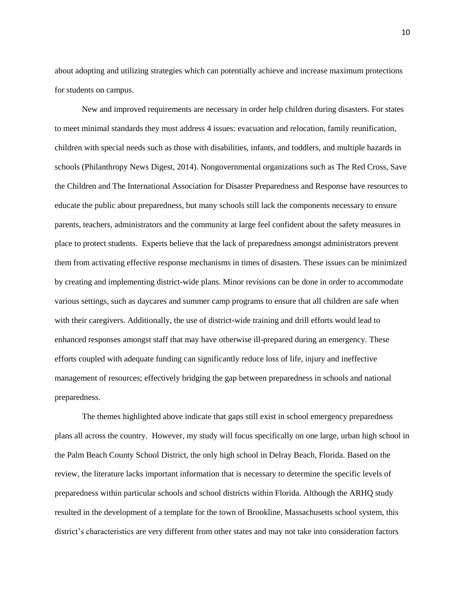about adopting and utilizing strategies which can potentially achieve and increase maximum protections for students on campus.

 New and improved requirements are necessary in order help children during disasters. For states to meet minimal standards they must address 4 issues: evacuation and relocation, family reunification, children with special needs such as those with disabilities, infants, and toddlers, and multiple hazards in schools (Philanthropy News Digest, 2014). Nongovernmental organizations such as The Red Cross, Save the Children and The International Association for Disaster Preparedness and Response have resources to educate the public about preparedness, but many schools still lack the components necessary to ensure parents, teachers, administrators and the community at large feel confident about the safety measures in place to protect students. Experts believe that the lack of preparedness amongst administrators prevent them from activating effective response mechanisms in times of disasters. These issues can be minimized by creating and implementing district-wide plans. Minor revisions can be done in order to accommodate various settings, such as daycares and summer camp programs to ensure that all children are safe when with their caregivers. Additionally, the use of district-wide training and drill efforts would lead to enhanced responses amongst staff that may have otherwise ill-prepared during an emergency. These efforts coupled with adequate funding can significantly reduce loss of life, injury and ineffective management of resources; effectively bridging the gap between preparedness in schools and national preparedness.

The themes highlighted above indicate that gaps still exist in school emergency preparedness plans all across the country. However, my study will focus specifically on one large, urban high school in the Palm Beach County School District, the only high school in Delray Beach, Florida. Based on the review, the literature lacks important information that is necessary to determine the specific levels of preparedness within particular schools and school districts within Florida. Although the ARHQ study resulted in the development of a template for the town of Brookline, Massachusetts school system, this district's characteristics are very different from other states and may not take into consideration factors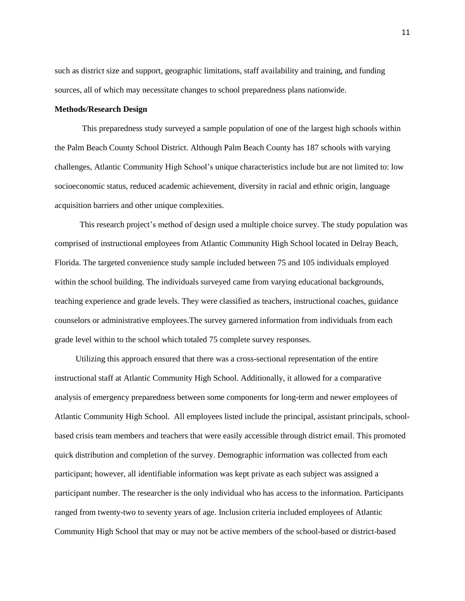such as district size and support, geographic limitations, staff availability and training, and funding sources, all of which may necessitate changes to school preparedness plans nationwide.

#### **Methods/Research Design**

 This preparedness study surveyed a sample population of one of the largest high schools within the Palm Beach County School District. Although Palm Beach County has 187 schools with varying challenges, Atlantic Community High School's unique characteristics include but are not limited to: low socioeconomic status, reduced academic achievement, diversity in racial and ethnic origin, language acquisition barriers and other unique complexities.

 This research project's method of design used a multiple choice survey. The study population was comprised of instructional employees from Atlantic Community High School located in Delray Beach, Florida. The targeted convenience study sample included between 75 and 105 individuals employed within the school building. The individuals surveyed came from varying educational backgrounds, teaching experience and grade levels. They were classified as teachers, instructional coaches, guidance counselors or administrative employees.The survey garnered information from individuals from each grade level within to the school which totaled 75 complete survey responses.

 Utilizing this approach ensured that there was a cross-sectional representation of the entire instructional staff at Atlantic Community High School. Additionally, it allowed for a comparative analysis of emergency preparedness between some components for long-term and newer employees of Atlantic Community High School. All employees listed include the principal, assistant principals, schoolbased crisis team members and teachers that were easily accessible through district email. This promoted quick distribution and completion of the survey. Demographic information was collected from each participant; however, all identifiable information was kept private as each subject was assigned a participant number. The researcher is the only individual who has access to the information. Participants ranged from twenty-two to seventy years of age. Inclusion criteria included employees of Atlantic Community High School that may or may not be active members of the school-based or district-based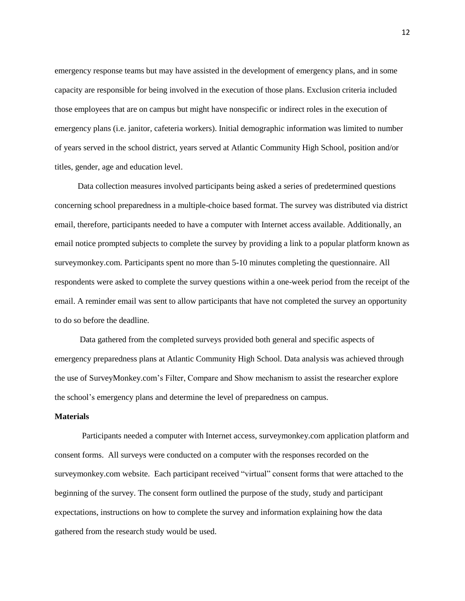emergency response teams but may have assisted in the development of emergency plans, and in some capacity are responsible for being involved in the execution of those plans. Exclusion criteria included those employees that are on campus but might have nonspecific or indirect roles in the execution of emergency plans (i.e. janitor, cafeteria workers). Initial demographic information was limited to number of years served in the school district, years served at Atlantic Community High School, position and/or titles, gender, age and education level.

 Data collection measures involved participants being asked a series of predetermined questions concerning school preparedness in a multiple-choice based format. The survey was distributed via district email, therefore, participants needed to have a computer with Internet access available. Additionally, an email notice prompted subjects to complete the survey by providing a link to a popular platform known as surveymonkey.com. Participants spent no more than 5-10 minutes completing the questionnaire. All respondents were asked to complete the survey questions within a one-week period from the receipt of the email. A reminder email was sent to allow participants that have not completed the survey an opportunity to do so before the deadline.

 Data gathered from the completed surveys provided both general and specific aspects of emergency preparedness plans at Atlantic Community High School. Data analysis was achieved through the use of SurveyMonkey.com's Filter, Compare and Show mechanism to assist the researcher explore the school's emergency plans and determine the level of preparedness on campus.

## **Materials**

 Participants needed a computer with Internet access, surveymonkey.com application platform and consent forms. All surveys were conducted on a computer with the responses recorded on the surveymonkey.com website. Each participant received "virtual" consent forms that were attached to the beginning of the survey. The consent form outlined the purpose of the study, study and participant expectations, instructions on how to complete the survey and information explaining how the data gathered from the research study would be used.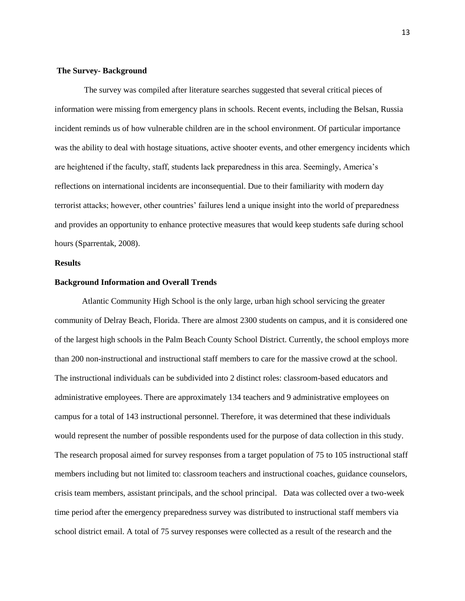## **The Survey- Background**

 The survey was compiled after literature searches suggested that several critical pieces of information were missing from emergency plans in schools. Recent events, including the Belsan, Russia incident reminds us of how vulnerable children are in the school environment. Of particular importance was the ability to deal with hostage situations, active shooter events, and other emergency incidents which are heightened if the faculty, staff, students lack preparedness in this area. Seemingly, America's reflections on international incidents are inconsequential. Due to their familiarity with modern day terrorist attacks; however, other countries' failures lend a unique insight into the world of preparedness and provides an opportunity to enhance protective measures that would keep students safe during school hours (Sparrentak, 2008).

## **Results**

#### **Background Information and Overall Trends**

 Atlantic Community High School is the only large, urban high school servicing the greater community of Delray Beach, Florida. There are almost 2300 students on campus, and it is considered one of the largest high schools in the Palm Beach County School District. Currently, the school employs more than 200 non-instructional and instructional staff members to care for the massive crowd at the school. The instructional individuals can be subdivided into 2 distinct roles: classroom-based educators and administrative employees. There are approximately 134 teachers and 9 administrative employees on campus for a total of 143 instructional personnel. Therefore, it was determined that these individuals would represent the number of possible respondents used for the purpose of data collection in this study. The research proposal aimed for survey responses from a target population of 75 to 105 instructional staff members including but not limited to: classroom teachers and instructional coaches, guidance counselors, crisis team members, assistant principals, and the school principal. Data was collected over a two-week time period after the emergency preparedness survey was distributed to instructional staff members via school district email. A total of 75 survey responses were collected as a result of the research and the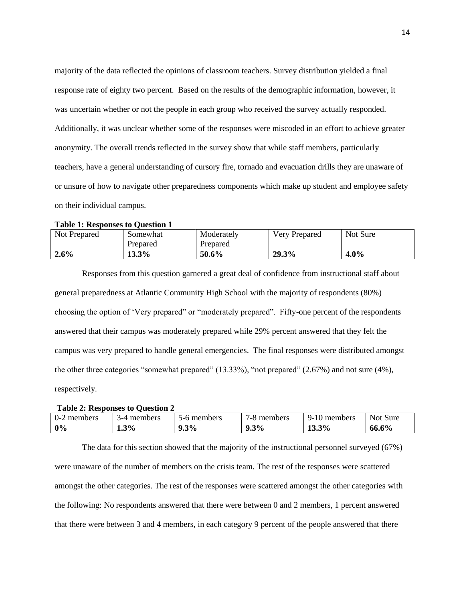majority of the data reflected the opinions of classroom teachers. Survey distribution yielded a final response rate of eighty two percent. Based on the results of the demographic information, however, it was uncertain whether or not the people in each group who received the survey actually responded. Additionally, it was unclear whether some of the responses were miscoded in an effort to achieve greater anonymity. The overall trends reflected in the survey show that while staff members, particularly teachers, have a general understanding of cursory fire, tornado and evacuation drills they are unaware of or unsure of how to navigate other preparedness components which make up student and employee safety on their individual campus.

#### **Table 1: Responses to Question 1**

| Not Prepared | Somewhat<br>Prepared | Moderately<br>Prepared | <b>Very Prepared</b> | Not Sure |
|--------------|----------------------|------------------------|----------------------|----------|
| 2.6%         | 13.3%                | 50.6%                  | 29.3%                | $4.0\%$  |

Responses from this question garnered a great deal of confidence from instructional staff about general preparedness at Atlantic Community High School with the majority of respondents (80%) choosing the option of 'Very prepared" or "moderately prepared". Fifty-one percent of the respondents answered that their campus was moderately prepared while 29% percent answered that they felt the campus was very prepared to handle general emergencies. The final responses were distributed amongst the other three categories "somewhat prepared" (13.33%), "not prepared" (2.67%) and not sure (4%), respectively.

#### **Table 2: Responses to Question 2**

| members<br>U-2 | members<br>1–⊿ | members<br>$-6$ | -<br>members<br>$-8$ | members<br>ч-<br>1 U | <b>Not</b><br>Sure |
|----------------|----------------|-----------------|----------------------|----------------------|--------------------|
| 0%             | $4.3\%$        | 9.3%            | $9.3\%$<br>Q         | 3%<br>1J.J           | 66.6%              |

The data for this section showed that the majority of the instructional personnel surveyed (67%) were unaware of the number of members on the crisis team. The rest of the responses were scattered amongst the other categories. The rest of the responses were scattered amongst the other categories with the following: No respondents answered that there were between 0 and 2 members, 1 percent answered that there were between 3 and 4 members, in each category 9 percent of the people answered that there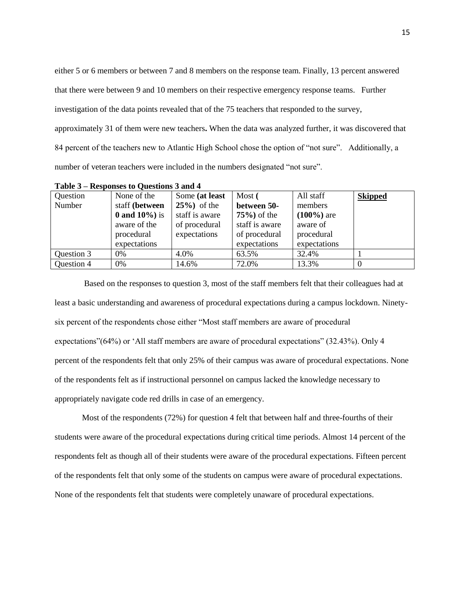either 5 or 6 members or between 7 and 8 members on the response team. Finally, 13 percent answered that there were between 9 and 10 members on their respective emergency response teams. Further investigation of the data points revealed that of the 75 teachers that responded to the survey, approximately 31 of them were new teachers**.** When the data was analyzed further, it was discovered that 84 percent of the teachers new to Atlantic High School chose the option of "not sure". Additionally, a number of veteran teachers were included in the numbers designated "not sure".

| Question   | None of the         | Some (at least  | Most (          | All staff     | <b>Skipped</b> |
|------------|---------------------|-----------------|-----------------|---------------|----------------|
| Number     | staff (between      | $25\%$ ) of the | between 50-     | members       |                |
|            | $0$ and $10\%$ ) is | staff is aware  | $75\%$ ) of the | $(100\%)$ are |                |
|            | aware of the        | of procedural   | staff is aware  | aware of      |                |
|            | procedural          | expectations    | of procedural   | procedural    |                |
|            | expectations        |                 | expectations    | expectations  |                |
| Question 3 | 0%                  | 4.0%            | 63.5%           | 32.4%         |                |
| Question 4 | 0%                  | 14.6%           | 72.0%           | 13.3%         |                |

**Table 3 – Responses to Questions 3 and 4**

Based on the responses to question 3, most of the staff members felt that their colleagues had at least a basic understanding and awareness of procedural expectations during a campus lockdown. Ninetysix percent of the respondents chose either "Most staff members are aware of procedural expectations"(64%) or 'All staff members are aware of procedural expectations" (32.43%). Only 4 percent of the respondents felt that only 25% of their campus was aware of procedural expectations. None of the respondents felt as if instructional personnel on campus lacked the knowledge necessary to appropriately navigate code red drills in case of an emergency.

 Most of the respondents (72%) for question 4 felt that between half and three-fourths of their students were aware of the procedural expectations during critical time periods. Almost 14 percent of the respondents felt as though all of their students were aware of the procedural expectations. Fifteen percent of the respondents felt that only some of the students on campus were aware of procedural expectations. None of the respondents felt that students were completely unaware of procedural expectations.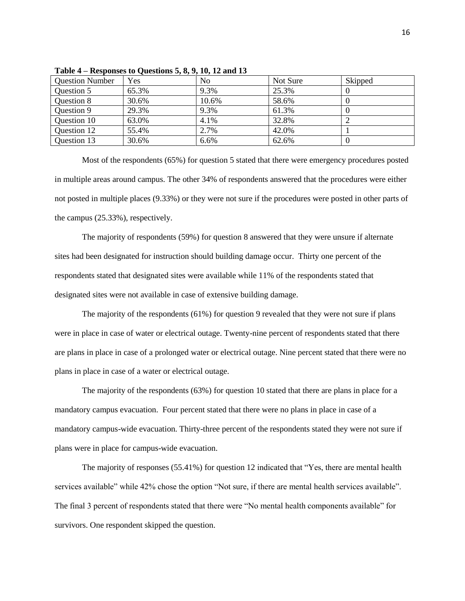| <b>Question Number</b> | Yes   | No    | Not Sure | Skipped |
|------------------------|-------|-------|----------|---------|
| Question 5             | 65.3% | 9.3%  | 25.3%    |         |
| Question 8             | 30.6% | 10.6% | 58.6%    |         |
| Question 9             | 29.3% | 9.3%  | 61.3%    |         |
| Question 10            | 63.0% | 4.1%  | 32.8%    |         |
| Question 12            | 55.4% | 2.7%  | 42.0%    |         |
| Question 13            | 30.6% | 6.6%  | 62.6%    |         |

**Table 4 – Responses to Questions 5, 8, 9, 10, 12 and 13**

 Most of the respondents (65%) for question 5 stated that there were emergency procedures posted in multiple areas around campus. The other 34% of respondents answered that the procedures were either not posted in multiple places (9.33%) or they were not sure if the procedures were posted in other parts of the campus (25.33%), respectively.

 The majority of respondents (59%) for question 8 answered that they were unsure if alternate sites had been designated for instruction should building damage occur. Thirty one percent of the respondents stated that designated sites were available while 11% of the respondents stated that designated sites were not available in case of extensive building damage.

The majority of the respondents (61%) for question 9 revealed that they were not sure if plans were in place in case of water or electrical outage. Twenty-nine percent of respondents stated that there are plans in place in case of a prolonged water or electrical outage. Nine percent stated that there were no plans in place in case of a water or electrical outage.

 The majority of the respondents (63%) for question 10 stated that there are plans in place for a mandatory campus evacuation. Four percent stated that there were no plans in place in case of a mandatory campus-wide evacuation. Thirty-three percent of the respondents stated they were not sure if plans were in place for campus-wide evacuation.

 The majority of responses (55.41%) for question 12 indicated that "Yes, there are mental health services available" while 42% chose the option "Not sure, if there are mental health services available". The final 3 percent of respondents stated that there were "No mental health components available" for survivors. One respondent skipped the question.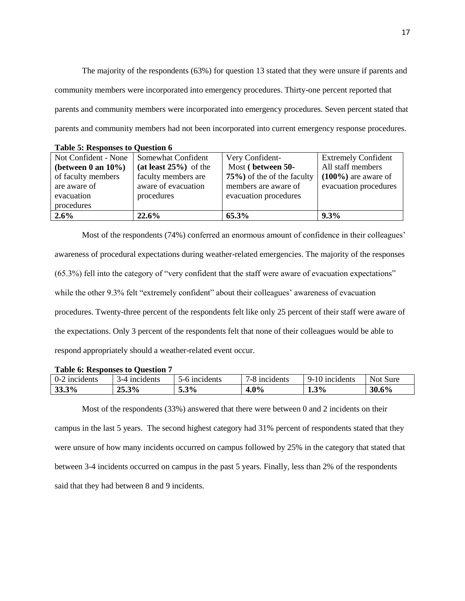The majority of the respondents (63%) for question 13 stated that they were unsure if parents and community members were incorporated into emergency procedures. Thirty-one percent reported that parents and community members were incorporated into emergency procedures. Seven percent stated that parents and community members had not been incorporated into current emergency response procedures.

| Not Confident - None   | Somewhat Confident       | Very Confident-                | <b>Extremely Confident</b> |
|------------------------|--------------------------|--------------------------------|----------------------------|
| (between 0 an $10\%$ ) | $(at least 25\%)$ of the | Most (between 50-              | All staff members          |
| of faculty members     | faculty members are      | $75\%$ ) of the of the faculty | $(100\%)$ are aware of     |
| are aware of           | aware of evacuation      | members are aware of           | evacuation procedures      |
| evacuation             | procedures               | evacuation procedures          |                            |
| procedures             |                          |                                |                            |
| 2.6%                   | $22.6\%$                 | 65.3%                          | $9.3\%$                    |

**Table 5: Responses to Question 6**

 Most of the respondents (74%) conferred an enormous amount of confidence in their colleagues' awareness of procedural expectations during weather-related emergencies. The majority of the responses (65.3%) fell into the category of "very confident that the staff were aware of evacuation expectations" while the other 9.3% felt "extremely confident" about their colleagues' awareness of evacuation procedures. Twenty-three percent of the respondents felt like only 25 percent of their staff were aware of the expectations. Only 3 percent of the respondents felt that none of their colleagues would be able to respond appropriately should a weather-related event occur.

| <b>Table 6: Responses to Question 7</b> |  |
|-----------------------------------------|--|
|-----------------------------------------|--|

| ⌒<br>incidents<br>U-. | incidents          | incidents<br>י- | incidents<br>-0 | incidents<br>∽ | <b>Not</b><br>Sure |
|-----------------------|--------------------|-----------------|-----------------|----------------|--------------------|
| 3%<br>JJ.J            | $\frac{25.3\%}{ }$ | 3%<br>ິ         | 4.0%            | 1.3%           | 5%<br>30           |

 Most of the respondents (33%) answered that there were between 0 and 2 incidents on their campus in the last 5 years. The second highest category had 31% percent of respondents stated that they were unsure of how many incidents occurred on campus followed by 25% in the category that stated that between 3-4 incidents occurred on campus in the past 5 years. Finally, less than 2% of the respondents said that they had between 8 and 9 incidents.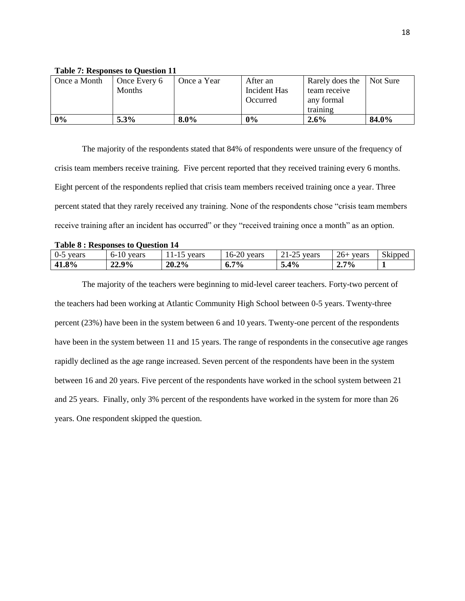| $-$ , $-$ , $-$ , $-$ , $-$ , $-$ , $-$ , $-$ , $-$ , $-$ , $-$ , $-$ , $-$ , $-$ , $-$ , $-$ , $-$ , $-$ , $-$ , $-$ , $-$ , $-$ , $-$ , $-$ , $-$ , $-$ , $-$ , $-$ , $-$ , $-$ , $-$ , $-$ , $-$ , $-$ , $-$ , $-$ , $-$ , |               |             |              |                 |          |  |  |
|-------------------------------------------------------------------------------------------------------------------------------------------------------------------------------------------------------------------------------|---------------|-------------|--------------|-----------------|----------|--|--|
| Once a Month                                                                                                                                                                                                                  | Once Every 6  | Once a Year | After an     | Rarely does the | Not Sure |  |  |
|                                                                                                                                                                                                                               | <b>Months</b> |             | Incident Has | team receive    |          |  |  |
|                                                                                                                                                                                                                               |               |             | Occurred     | any formal      |          |  |  |
|                                                                                                                                                                                                                               |               |             |              | training        |          |  |  |
| $0\%$                                                                                                                                                                                                                         | $5.3\%$       | $8.0\%$     | 0%           | $2.6\%$         | 84.0%    |  |  |

## **Table 7: Responses to Question 11**

The majority of the respondents stated that 84% of respondents were unsure of the frequency of crisis team members receive training. Five percent reported that they received training every 6 months. Eight percent of the respondents replied that crisis team members received training once a year. Three percent stated that they rarely received any training. None of the respondents chose "crisis team members receive training after an incident has occurred" or they "received training once a month" as an option.

| Table 8 : Responses to Question 14 |              |               |                         |               |             |         |  |
|------------------------------------|--------------|---------------|-------------------------|---------------|-------------|---------|--|
| $0-5$ years                        | $6-10$ vears | $11-15$ vears | 16-20 years             | $21-25$ vears | $26+$ vears | Skipped |  |
| 41.8%                              | 22.9%        | 20.2%         | $7\%$<br>$\mathbf{0}$ . | 5.4%          | $2.7\%$     |         |  |

**Table 8 : Responses to Question 14**

 The majority of the teachers were beginning to mid-level career teachers. Forty-two percent of the teachers had been working at Atlantic Community High School between 0-5 years. Twenty-three percent (23%) have been in the system between 6 and 10 years. Twenty-one percent of the respondents have been in the system between 11 and 15 years. The range of respondents in the consecutive age ranges rapidly declined as the age range increased. Seven percent of the respondents have been in the system between 16 and 20 years. Five percent of the respondents have worked in the school system between 21 and 25 years. Finally, only 3% percent of the respondents have worked in the system for more than 26 years. One respondent skipped the question.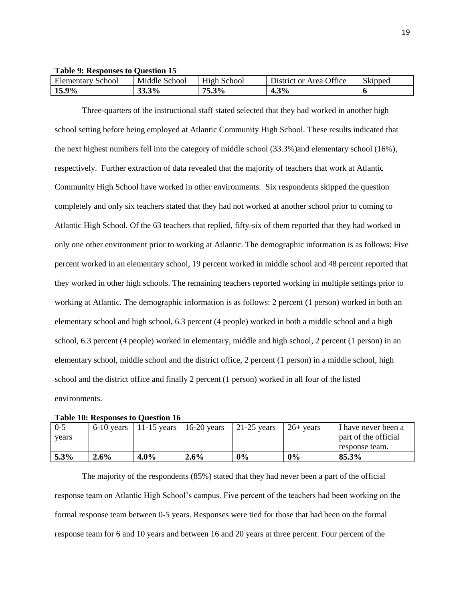**Table 9: Responses to Question 15**

| Elementary<br>School | Middle<br>School | School<br>H1ºh | <b>Office</b><br>District<br>0r<br>Area | $\sim$ 1<br>Skipped |
|----------------------|------------------|----------------|-----------------------------------------|---------------------|
| 9%<br>1. Je          | 33.3%            | 20<br>'3.3%    | 3%<br>- ت                               |                     |

 Three-quarters of the instructional staff stated selected that they had worked in another high school setting before being employed at Atlantic Community High School. These results indicated that the next highest numbers fell into the category of middle school (33.3%)and elementary school (16%), respectively. Further extraction of data revealed that the majority of teachers that work at Atlantic Community High School have worked in other environments. Six respondents skipped the question completely and only six teachers stated that they had not worked at another school prior to coming to Atlantic High School. Of the 63 teachers that replied, fifty-six of them reported that they had worked in only one other environment prior to working at Atlantic. The demographic information is as follows: Five percent worked in an elementary school, 19 percent worked in middle school and 48 percent reported that they worked in other high schools. The remaining teachers reported working in multiple settings prior to working at Atlantic. The demographic information is as follows: 2 percent (1 person) worked in both an elementary school and high school, 6.3 percent (4 people) worked in both a middle school and a high school, 6.3 percent (4 people) worked in elementary, middle and high school, 2 percent (1 person) in an elementary school, middle school and the district office, 2 percent (1 person) in a middle school, high school and the district office and finally 2 percent (1 person) worked in all four of the listed environments.

| $0 - 5$ | $6-10$ years | 11-15 years   16-20 years |         | $21-25$ years | $26+$ vears | I have never been a  |
|---------|--------------|---------------------------|---------|---------------|-------------|----------------------|
| vears   |              |                           |         |               |             | part of the official |
|         |              |                           |         |               |             | response team.       |
| $5.3\%$ | $2.6\%$      | $4.0\%$                   | $2.6\%$ | 0%            | $0\%$       | 85.3%                |

#### **Table 10: Responses to Question 16**

 The majority of the respondents (85%) stated that they had never been a part of the official response team on Atlantic High School's campus. Five percent of the teachers had been working on the formal response team between 0-5 years. Responses were tied for those that had been on the formal response team for 6 and 10 years and between 16 and 20 years at three percent. Four percent of the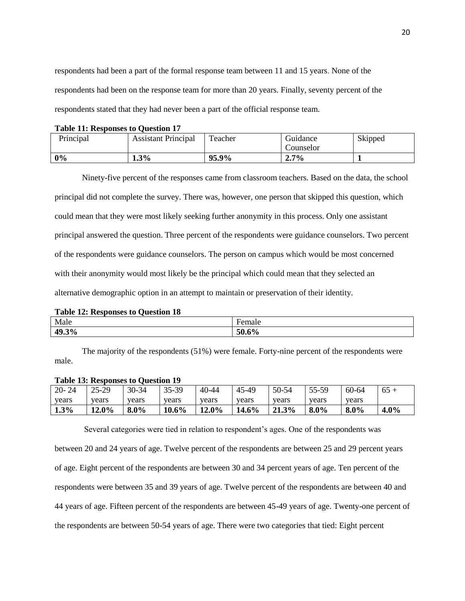respondents had been a part of the formal response team between 11 and 15 years. None of the respondents had been on the response team for more than 20 years. Finally, seventy percent of the respondents stated that they had never been a part of the official response team.

#### **Table 11: Responses to Question 17**

| Principal | <b>Assistant Principal</b> | Teacher | Guidance<br>Counselor | Skipped |
|-----------|----------------------------|---------|-----------------------|---------|
| 0%        | 1.3%                       | 95.9%   | 2.7%                  |         |

 Ninety-five percent of the responses came from classroom teachers. Based on the data, the school principal did not complete the survey. There was, however, one person that skipped this question, which could mean that they were most likely seeking further anonymity in this process. Only one assistant principal answered the question. Three percent of the respondents were guidance counselors. Two percent of the respondents were guidance counselors. The person on campus which would be most concerned with their anonymity would most likely be the principal which could mean that they selected an alternative demographic option in an attempt to maintain or preservation of their identity.

## **Table 12: Responses to Question 18**

| Male  | emale                                                 |
|-------|-------------------------------------------------------|
| 49.3% | $\overline{ }$<br>$\epsilon$ <sup>0</sup><br>וו<br>70 |

The majority of the respondents (51%) were female. Forty-nine percent of the respondents were male.

## **Table 13: Responses to Question 19**

| $20 - 24$ | $25 - 29$ | 30-34   | 35-39 | 40-44    | 45-49 | 50-54 | 55-59 | 60-64 |      |
|-----------|-----------|---------|-------|----------|-------|-------|-------|-------|------|
| years     | vears     | vears   | vears | years    | vears | vears | vears | vears |      |
| 1.3%      | 12.0%     | $8.0\%$ | 10.6% | $12.0\%$ | 14.6% | 21.3% | 8.0%  | 8.0%  | 4.0% |

 Several categories were tied in relation to respondent's ages. One of the respondents was between 20 and 24 years of age. Twelve percent of the respondents are between 25 and 29 percent years of age. Eight percent of the respondents are between 30 and 34 percent years of age. Ten percent of the respondents were between 35 and 39 years of age. Twelve percent of the respondents are between 40 and 44 years of age. Fifteen percent of the respondents are between 45-49 years of age. Twenty-one percent of the respondents are between 50-54 years of age. There were two categories that tied: Eight percent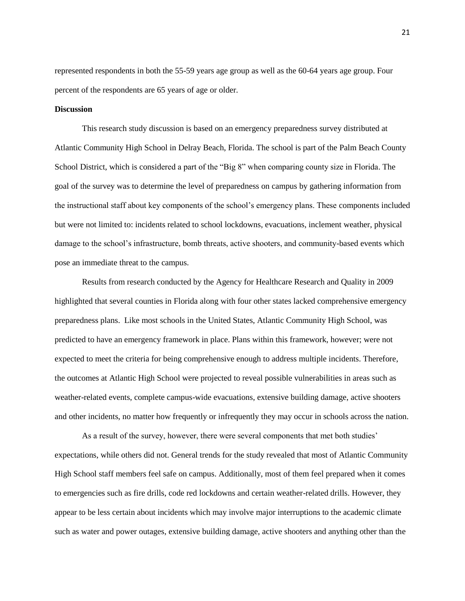represented respondents in both the 55-59 years age group as well as the 60-64 years age group. Four percent of the respondents are 65 years of age or older.

## **Discussion**

 This research study discussion is based on an emergency preparedness survey distributed at Atlantic Community High School in Delray Beach, Florida. The school is part of the Palm Beach County School District, which is considered a part of the "Big 8" when comparing county size in Florida. The goal of the survey was to determine the level of preparedness on campus by gathering information from the instructional staff about key components of the school's emergency plans. These components included but were not limited to: incidents related to school lockdowns, evacuations, inclement weather, physical damage to the school's infrastructure, bomb threats, active shooters, and community-based events which pose an immediate threat to the campus.

 Results from research conducted by the Agency for Healthcare Research and Quality in 2009 highlighted that several counties in Florida along with four other states lacked comprehensive emergency preparedness plans. Like most schools in the United States, Atlantic Community High School, was predicted to have an emergency framework in place. Plans within this framework, however; were not expected to meet the criteria for being comprehensive enough to address multiple incidents. Therefore, the outcomes at Atlantic High School were projected to reveal possible vulnerabilities in areas such as weather-related events, complete campus-wide evacuations, extensive building damage, active shooters and other incidents, no matter how frequently or infrequently they may occur in schools across the nation.

 As a result of the survey, however, there were several components that met both studies' expectations, while others did not. General trends for the study revealed that most of Atlantic Community High School staff members feel safe on campus. Additionally, most of them feel prepared when it comes to emergencies such as fire drills, code red lockdowns and certain weather-related drills. However, they appear to be less certain about incidents which may involve major interruptions to the academic climate such as water and power outages, extensive building damage, active shooters and anything other than the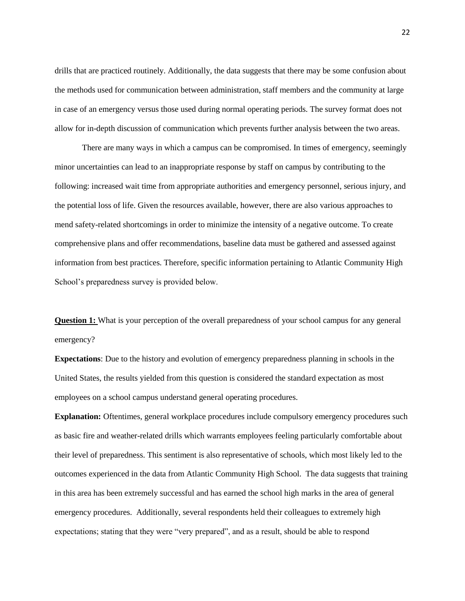drills that are practiced routinely. Additionally, the data suggests that there may be some confusion about the methods used for communication between administration, staff members and the community at large in case of an emergency versus those used during normal operating periods. The survey format does not allow for in-depth discussion of communication which prevents further analysis between the two areas.

 There are many ways in which a campus can be compromised. In times of emergency, seemingly minor uncertainties can lead to an inappropriate response by staff on campus by contributing to the following: increased wait time from appropriate authorities and emergency personnel, serious injury, and the potential loss of life. Given the resources available, however, there are also various approaches to mend safety-related shortcomings in order to minimize the intensity of a negative outcome. To create comprehensive plans and offer recommendations, baseline data must be gathered and assessed against information from best practices. Therefore, specific information pertaining to Atlantic Community High School's preparedness survey is provided below.

**Question 1:** What is your perception of the overall preparedness of your school campus for any general emergency?

**Expectations**: Due to the history and evolution of emergency preparedness planning in schools in the United States, the results yielded from this question is considered the standard expectation as most employees on a school campus understand general operating procedures.

**Explanation:** Oftentimes, general workplace procedures include compulsory emergency procedures such as basic fire and weather-related drills which warrants employees feeling particularly comfortable about their level of preparedness. This sentiment is also representative of schools, which most likely led to the outcomes experienced in the data from Atlantic Community High School. The data suggests that training in this area has been extremely successful and has earned the school high marks in the area of general emergency procedures. Additionally, several respondents held their colleagues to extremely high expectations; stating that they were "very prepared", and as a result, should be able to respond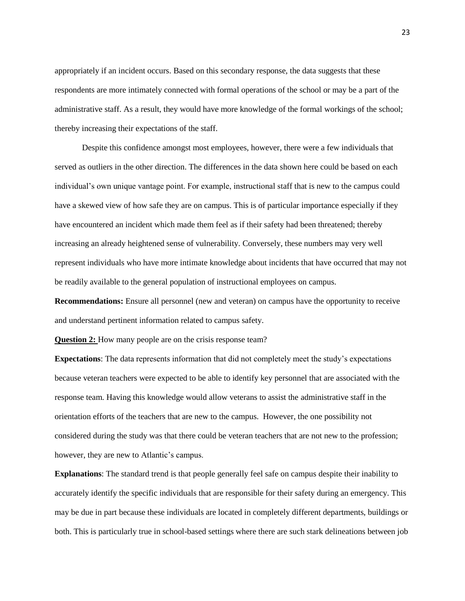appropriately if an incident occurs. Based on this secondary response, the data suggests that these respondents are more intimately connected with formal operations of the school or may be a part of the administrative staff. As a result, they would have more knowledge of the formal workings of the school; thereby increasing their expectations of the staff.

 Despite this confidence amongst most employees, however, there were a few individuals that served as outliers in the other direction. The differences in the data shown here could be based on each individual's own unique vantage point. For example, instructional staff that is new to the campus could have a skewed view of how safe they are on campus. This is of particular importance especially if they have encountered an incident which made them feel as if their safety had been threatened; thereby increasing an already heightened sense of vulnerability. Conversely, these numbers may very well represent individuals who have more intimate knowledge about incidents that have occurred that may not be readily available to the general population of instructional employees on campus.

**Recommendations:** Ensure all personnel (new and veteran) on campus have the opportunity to receive and understand pertinent information related to campus safety.

**Question 2:** How many people are on the crisis response team?

**Expectations**: The data represents information that did not completely meet the study's expectations because veteran teachers were expected to be able to identify key personnel that are associated with the response team. Having this knowledge would allow veterans to assist the administrative staff in the orientation efforts of the teachers that are new to the campus. However, the one possibility not considered during the study was that there could be veteran teachers that are not new to the profession; however, they are new to Atlantic's campus.

**Explanations**: The standard trend is that people generally feel safe on campus despite their inability to accurately identify the specific individuals that are responsible for their safety during an emergency. This may be due in part because these individuals are located in completely different departments, buildings or both. This is particularly true in school-based settings where there are such stark delineations between job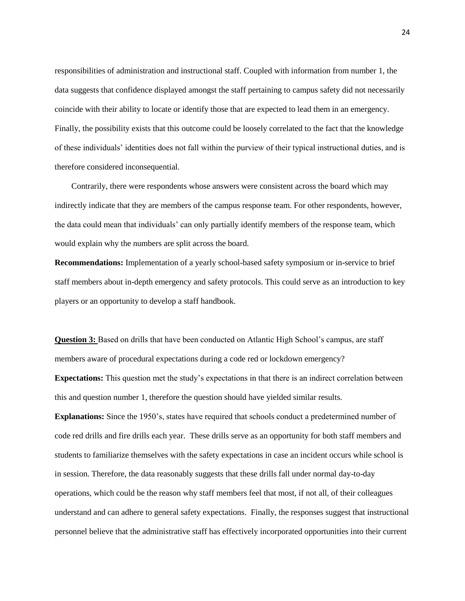responsibilities of administration and instructional staff. Coupled with information from number 1, the data suggests that confidence displayed amongst the staff pertaining to campus safety did not necessarily coincide with their ability to locate or identify those that are expected to lead them in an emergency. Finally, the possibility exists that this outcome could be loosely correlated to the fact that the knowledge of these individuals' identities does not fall within the purview of their typical instructional duties, and is therefore considered inconsequential.

 Contrarily, there were respondents whose answers were consistent across the board which may indirectly indicate that they are members of the campus response team. For other respondents, however, the data could mean that individuals' can only partially identify members of the response team, which would explain why the numbers are split across the board.

**Recommendations:** Implementation of a yearly school-based safety symposium or in-service to brief staff members about in-depth emergency and safety protocols. This could serve as an introduction to key players or an opportunity to develop a staff handbook.

**Question 3:** Based on drills that have been conducted on Atlantic High School's campus, are staff members aware of procedural expectations during a code red or lockdown emergency? **Expectations:** This question met the study's expectations in that there is an indirect correlation between this and question number 1, therefore the question should have yielded similar results.

**Explanations:** Since the 1950's, states have required that schools conduct a predetermined number of code red drills and fire drills each year.These drills serve as an opportunity for both staff members and students to familiarize themselves with the safety expectations in case an incident occurs while school is in session. Therefore, the data reasonably suggests that these drills fall under normal day-to-day operations, which could be the reason why staff members feel that most, if not all, of their colleagues understand and can adhere to general safety expectations. Finally, the responses suggest that instructional personnel believe that the administrative staff has effectively incorporated opportunities into their current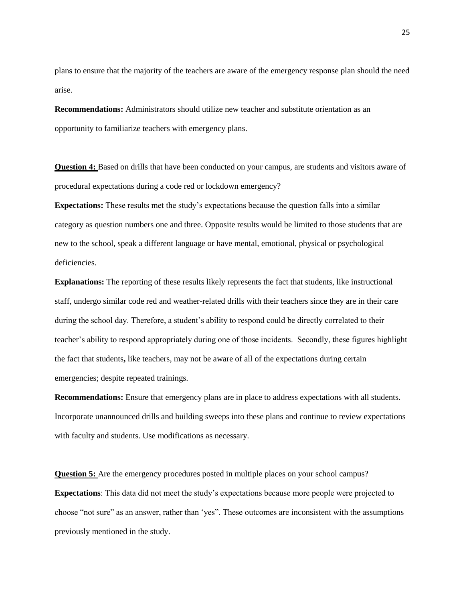plans to ensure that the majority of the teachers are aware of the emergency response plan should the need arise.

**Recommendations:** Administrators should utilize new teacher and substitute orientation as an opportunity to familiarize teachers with emergency plans.

**Question 4:** Based on drills that have been conducted on your campus, are students and visitors aware of procedural expectations during a code red or lockdown emergency?

**Expectations:** These results met the study's expectations because the question falls into a similar category as question numbers one and three. Opposite results would be limited to those students that are new to the school, speak a different language or have mental, emotional, physical or psychological deficiencies.

**Explanations:** The reporting of these results likely represents the fact that students, like instructional staff, undergo similar code red and weather-related drills with their teachers since they are in their care during the school day. Therefore, a student's ability to respond could be directly correlated to their teacher's ability to respond appropriately during one of those incidents. Secondly, these figures highlight the fact that students**,** like teachers, may not be aware of all of the expectations during certain emergencies; despite repeated trainings.

**Recommendations:** Ensure that emergency plans are in place to address expectations with all students. Incorporate unannounced drills and building sweeps into these plans and continue to review expectations with faculty and students. Use modifications as necessary.

**Question 5:** Are the emergency procedures posted in multiple places on your school campus? **Expectations**: This data did not meet the study's expectations because more people were projected to choose "not sure" as an answer, rather than 'yes". These outcomes are inconsistent with the assumptions previously mentioned in the study.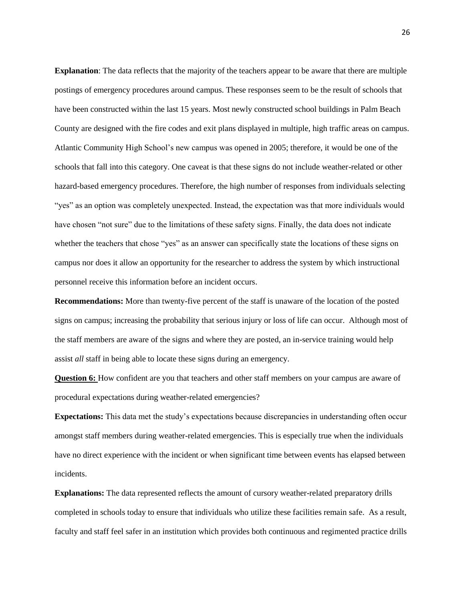**Explanation**: The data reflects that the majority of the teachers appear to be aware that there are multiple postings of emergency procedures around campus. These responses seem to be the result of schools that have been constructed within the last 15 years. Most newly constructed school buildings in Palm Beach County are designed with the fire codes and exit plans displayed in multiple, high traffic areas on campus. Atlantic Community High School's new campus was opened in 2005; therefore, it would be one of the schools that fall into this category. One caveat is that these signs do not include weather-related or other hazard-based emergency procedures. Therefore, the high number of responses from individuals selecting "yes" as an option was completely unexpected. Instead, the expectation was that more individuals would have chosen "not sure" due to the limitations of these safety signs. Finally, the data does not indicate whether the teachers that chose "yes" as an answer can specifically state the locations of these signs on campus nor does it allow an opportunity for the researcher to address the system by which instructional personnel receive this information before an incident occurs.

**Recommendations:** More than twenty-five percent of the staff is unaware of the location of the posted signs on campus; increasing the probability that serious injury or loss of life can occur. Although most of the staff members are aware of the signs and where they are posted, an in-service training would help assist *all* staff in being able to locate these signs during an emergency.

**Question 6:** How confident are you that teachers and other staff members on your campus are aware of procedural expectations during weather-related emergencies?

**Expectations:** This data met the study's expectations because discrepancies in understanding often occur amongst staff members during weather-related emergencies. This is especially true when the individuals have no direct experience with the incident or when significant time between events has elapsed between incidents.

**Explanations:** The data represented reflects the amount of cursory weather-related preparatory drills completed in schools today to ensure that individuals who utilize these facilities remain safe. As a result, faculty and staff feel safer in an institution which provides both continuous and regimented practice drills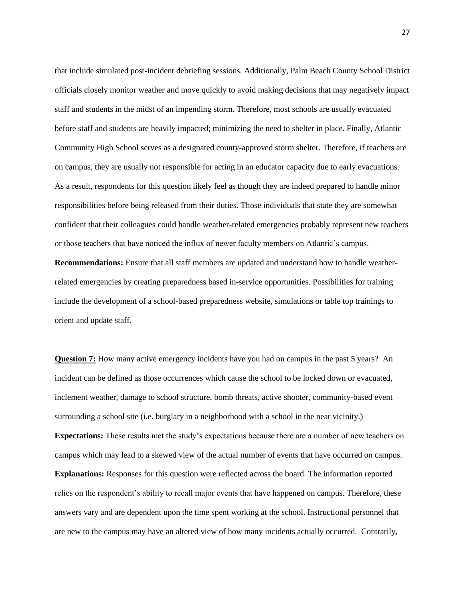that include simulated post-incident debriefing sessions. Additionally, Palm Beach County School District officials closely monitor weather and move quickly to avoid making decisions that may negatively impact staff and students in the midst of an impending storm. Therefore, most schools are usually evacuated before staff and students are heavily impacted; minimizing the need to shelter in place. Finally, Atlantic Community High School serves as a designated county-approved storm shelter. Therefore, if teachers are on campus, they are usually not responsible for acting in an educator capacity due to early evacuations. As a result, respondents for this question likely feel as though they are indeed prepared to handle minor responsibilities before being released from their duties. Those individuals that state they are somewhat confident that their colleagues could handle weather-related emergencies probably represent new teachers or those teachers that have noticed the influx of newer faculty members on Atlantic's campus.

**Recommendations:** Ensure that all staff members are updated and understand how to handle weatherrelated emergencies by creating preparedness based in-service opportunities. Possibilities for training include the development of a school-based preparedness website, simulations or table top trainings to orient and update staff.

**Question 7:** How many active emergency incidents have you had on campus in the past 5 years? An incident can be defined as those occurrences which cause the school to be locked down or evacuated, inclement weather, damage to school structure, bomb threats, active shooter, community-based event surrounding a school site (i.e. burglary in a neighborhood with a school in the near vicinity.) **Expectations:** These results met the study's expectations because there are a number of new teachers on campus which may lead to a skewed view of the actual number of events that have occurred on campus. **Explanations:** Responses for this question were reflected across the board. The information reported relies on the respondent's ability to recall major events that have happened on campus. Therefore, these answers vary and are dependent upon the time spent working at the school. Instructional personnel that are new to the campus may have an altered view of how many incidents actually occurred. Contrarily,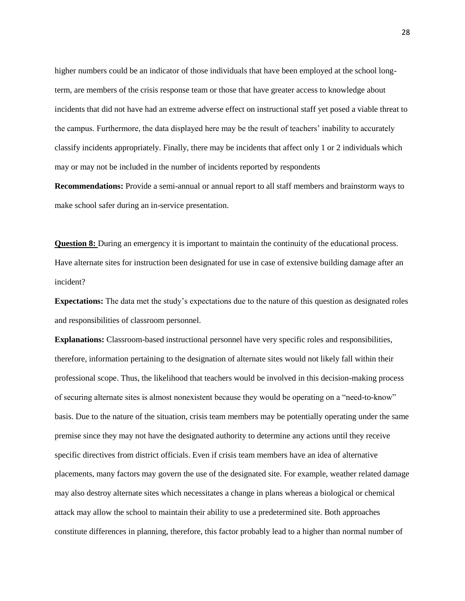higher numbers could be an indicator of those individuals that have been employed at the school longterm, are members of the crisis response team or those that have greater access to knowledge about incidents that did not have had an extreme adverse effect on instructional staff yet posed a viable threat to the campus. Furthermore, the data displayed here may be the result of teachers' inability to accurately classify incidents appropriately. Finally, there may be incidents that affect only 1 or 2 individuals which may or may not be included in the number of incidents reported by respondents

**Recommendations:** Provide a semi-annual or annual report to all staff members and brainstorm ways to make school safer during an in-service presentation.

**Question 8:** During an emergency it is important to maintain the continuity of the educational process. Have alternate sites for instruction been designated for use in case of extensive building damage after an incident?

**Expectations:** The data met the study's expectations due to the nature of this question as designated roles and responsibilities of classroom personnel.

**Explanations:** Classroom-based instructional personnel have very specific roles and responsibilities, therefore, information pertaining to the designation of alternate sites would not likely fall within their professional scope. Thus, the likelihood that teachers would be involved in this decision-making process of securing alternate sites is almost nonexistent because they would be operating on a "need-to-know" basis. Due to the nature of the situation, crisis team members may be potentially operating under the same premise since they may not have the designated authority to determine any actions until they receive specific directives from district officials. Even if crisis team members have an idea of alternative placements, many factors may govern the use of the designated site. For example, weather related damage may also destroy alternate sites which necessitates a change in plans whereas a biological or chemical attack may allow the school to maintain their ability to use a predetermined site. Both approaches constitute differences in planning, therefore, this factor probably lead to a higher than normal number of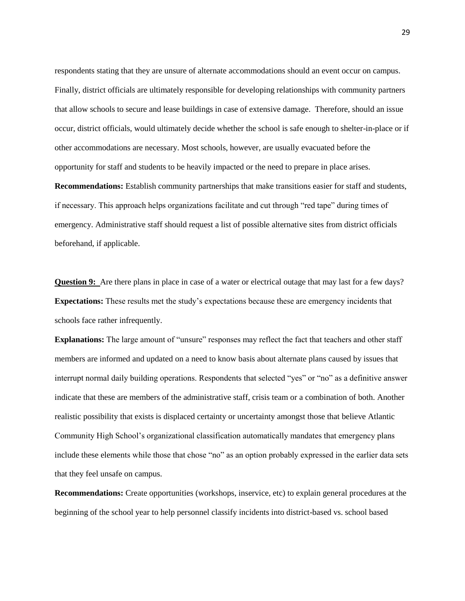respondents stating that they are unsure of alternate accommodations should an event occur on campus. Finally, district officials are ultimately responsible for developing relationships with community partners that allow schools to secure and lease buildings in case of extensive damage. Therefore, should an issue occur, district officials, would ultimately decide whether the school is safe enough to shelter-in-place or if other accommodations are necessary. Most schools, however, are usually evacuated before the opportunity for staff and students to be heavily impacted or the need to prepare in place arises. **Recommendations:** Establish community partnerships that make transitions easier for staff and students, if necessary. This approach helps organizations facilitate and cut through "red tape" during times of emergency. Administrative staff should request a list of possible alternative sites from district officials beforehand, if applicable.

**Question 9:** Are there plans in place in case of a water or electrical outage that may last for a few days? **Expectations:** These results met the study's expectations because these are emergency incidents that schools face rather infrequently.

**Explanations:** The large amount of "unsure" responses may reflect the fact that teachers and other staff members are informed and updated on a need to know basis about alternate plans caused by issues that interrupt normal daily building operations. Respondents that selected "yes" or "no" as a definitive answer indicate that these are members of the administrative staff, crisis team or a combination of both. Another realistic possibility that exists is displaced certainty or uncertainty amongst those that believe Atlantic Community High School's organizational classification automatically mandates that emergency plans include these elements while those that chose "no" as an option probably expressed in the earlier data sets that they feel unsafe on campus.

**Recommendations:** Create opportunities (workshops, inservice, etc) to explain general procedures at the beginning of the school year to help personnel classify incidents into district-based vs. school based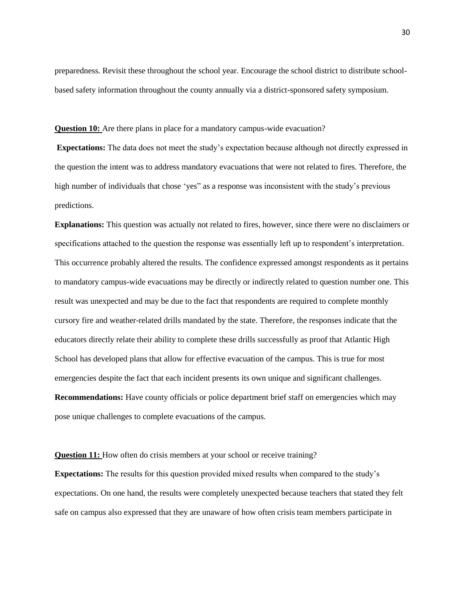preparedness. Revisit these throughout the school year. Encourage the school district to distribute schoolbased safety information throughout the county annually via a district-sponsored safety symposium.

**Question 10:** Are there plans in place for a mandatory campus-wide evacuation?

**Expectations:** The data does not meet the study's expectation because although not directly expressed in the question the intent was to address mandatory evacuations that were not related to fires. Therefore, the high number of individuals that chose 'yes" as a response was inconsistent with the study's previous predictions.

**Explanations:** This question was actually not related to fires, however, since there were no disclaimers or specifications attached to the question the response was essentially left up to respondent's interpretation. This occurrence probably altered the results. The confidence expressed amongst respondents as it pertains to mandatory campus-wide evacuations may be directly or indirectly related to question number one. This result was unexpected and may be due to the fact that respondents are required to complete monthly cursory fire and weather-related drills mandated by the state. Therefore, the responses indicate that the educators directly relate their ability to complete these drills successfully as proof that Atlantic High School has developed plans that allow for effective evacuation of the campus. This is true for most emergencies despite the fact that each incident presents its own unique and significant challenges. **Recommendations:** Have county officials or police department brief staff on emergencies which may pose unique challenges to complete evacuations of the campus.

**Question 11:** How often do crisis members at your school or receive training?

**Expectations:** The results for this question provided mixed results when compared to the study's expectations. On one hand, the results were completely unexpected because teachers that stated they felt safe on campus also expressed that they are unaware of how often crisis team members participate in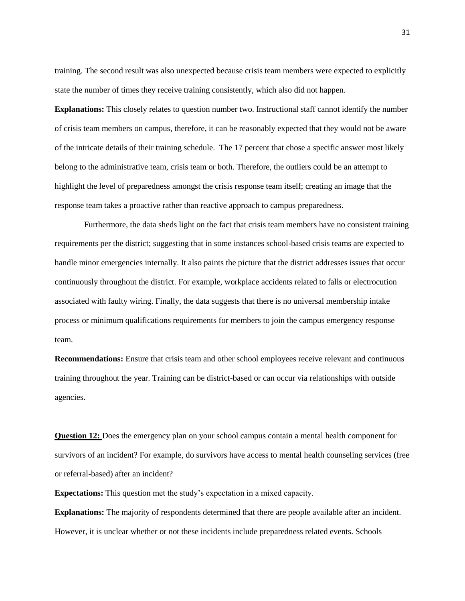training. The second result was also unexpected because crisis team members were expected to explicitly state the number of times they receive training consistently, which also did not happen.

**Explanations:** This closely relates to question number two. Instructional staff cannot identify the number of crisis team members on campus, therefore, it can be reasonably expected that they would not be aware of the intricate details of their training schedule. The 17 percent that chose a specific answer most likely belong to the administrative team, crisis team or both. Therefore, the outliers could be an attempt to highlight the level of preparedness amongst the crisis response team itself; creating an image that the response team takes a proactive rather than reactive approach to campus preparedness.

 Furthermore, the data sheds light on the fact that crisis team members have no consistent training requirements per the district; suggesting that in some instances school-based crisis teams are expected to handle minor emergencies internally. It also paints the picture that the district addresses issues that occur continuously throughout the district. For example, workplace accidents related to falls or electrocution associated with faulty wiring. Finally, the data suggests that there is no universal membership intake process or minimum qualifications requirements for members to join the campus emergency response team.

**Recommendations:** Ensure that crisis team and other school employees receive relevant and continuous training throughout the year. Training can be district-based or can occur via relationships with outside agencies.

**Question 12:** Does the emergency plan on your school campus contain a mental health component for survivors of an incident? For example, do survivors have access to mental health counseling services (free or referral-based) after an incident?

**Expectations:** This question met the study's expectation in a mixed capacity.

**Explanations:** The majority of respondents determined that there are people available after an incident. However, it is unclear whether or not these incidents include preparedness related events. Schools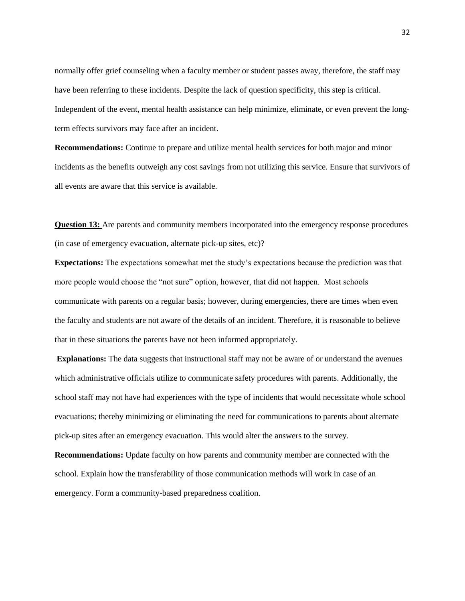normally offer grief counseling when a faculty member or student passes away, therefore, the staff may have been referring to these incidents. Despite the lack of question specificity, this step is critical. Independent of the event, mental health assistance can help minimize, eliminate, or even prevent the longterm effects survivors may face after an incident.

**Recommendations:** Continue to prepare and utilize mental health services for both major and minor incidents as the benefits outweigh any cost savings from not utilizing this service. Ensure that survivors of all events are aware that this service is available.

**Question 13:** Are parents and community members incorporated into the emergency response procedures (in case of emergency evacuation, alternate pick-up sites, etc)?

**Expectations:** The expectations somewhat met the study's expectations because the prediction was that more people would choose the "not sure" option, however, that did not happen. Most schools communicate with parents on a regular basis; however, during emergencies, there are times when even the faculty and students are not aware of the details of an incident. Therefore, it is reasonable to believe that in these situations the parents have not been informed appropriately.

**Explanations:** The data suggests that instructional staff may not be aware of or understand the avenues which administrative officials utilize to communicate safety procedures with parents. Additionally, the school staff may not have had experiences with the type of incidents that would necessitate whole school evacuations; thereby minimizing or eliminating the need for communications to parents about alternate pick-up sites after an emergency evacuation. This would alter the answers to the survey.

**Recommendations:** Update faculty on how parents and community member are connected with the school. Explain how the transferability of those communication methods will work in case of an emergency. Form a community-based preparedness coalition.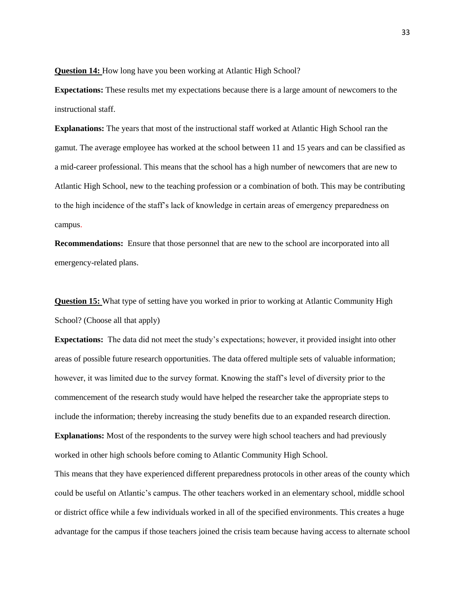**Question 14:** How long have you been working at Atlantic High School?

**Expectations:** These results met my expectations because there is a large amount of newcomers to the instructional staff.

**Explanations:** The years that most of the instructional staff worked at Atlantic High School ran the gamut. The average employee has worked at the school between 11 and 15 years and can be classified as a mid-career professional. This means that the school has a high number of newcomers that are new to Atlantic High School, new to the teaching profession or a combination of both. This may be contributing to the high incidence of the staff's lack of knowledge in certain areas of emergency preparedness on campus.

**Recommendations:** Ensure that those personnel that are new to the school are incorporated into all emergency-related plans.

**Question 15:** What type of setting have you worked in prior to working at Atlantic Community High School? (Choose all that apply)

**Expectations:** The data did not meet the study's expectations; however, it provided insight into other areas of possible future research opportunities. The data offered multiple sets of valuable information; however, it was limited due to the survey format. Knowing the staff's level of diversity prior to the commencement of the research study would have helped the researcher take the appropriate steps to include the information; thereby increasing the study benefits due to an expanded research direction. **Explanations:** Most of the respondents to the survey were high school teachers and had previously worked in other high schools before coming to Atlantic Community High School.

This means that they have experienced different preparedness protocols in other areas of the county which could be useful on Atlantic's campus. The other teachers worked in an elementary school, middle school or district office while a few individuals worked in all of the specified environments. This creates a huge advantage for the campus if those teachers joined the crisis team because having access to alternate school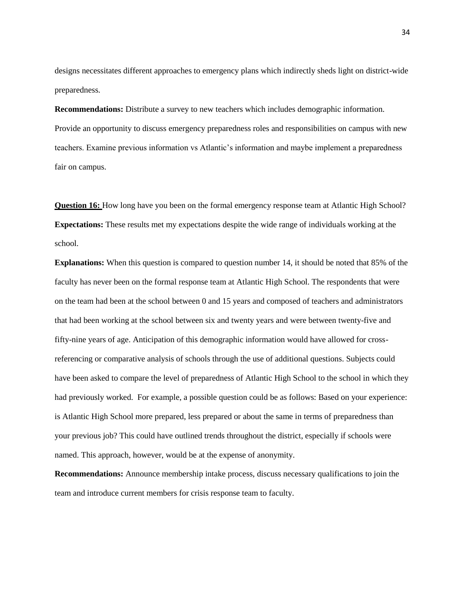designs necessitates different approaches to emergency plans which indirectly sheds light on district-wide preparedness.

**Recommendations:** Distribute a survey to new teachers which includes demographic information. Provide an opportunity to discuss emergency preparedness roles and responsibilities on campus with new teachers. Examine previous information vs Atlantic's information and maybe implement a preparedness fair on campus.

**Question 16:** How long have you been on the formal emergency response team at Atlantic High School? **Expectations:** These results met my expectations despite the wide range of individuals working at the school.

**Explanations:** When this question is compared to question number 14, it should be noted that 85% of the faculty has never been on the formal response team at Atlantic High School. The respondents that were on the team had been at the school between 0 and 15 years and composed of teachers and administrators that had been working at the school between six and twenty years and were between twenty-five and fifty-nine years of age. Anticipation of this demographic information would have allowed for crossreferencing or comparative analysis of schools through the use of additional questions. Subjects could have been asked to compare the level of preparedness of Atlantic High School to the school in which they had previously worked. For example, a possible question could be as follows: Based on your experience: is Atlantic High School more prepared, less prepared or about the same in terms of preparedness than your previous job? This could have outlined trends throughout the district, especially if schools were named. This approach, however, would be at the expense of anonymity.

**Recommendations:** Announce membership intake process, discuss necessary qualifications to join the team and introduce current members for crisis response team to faculty.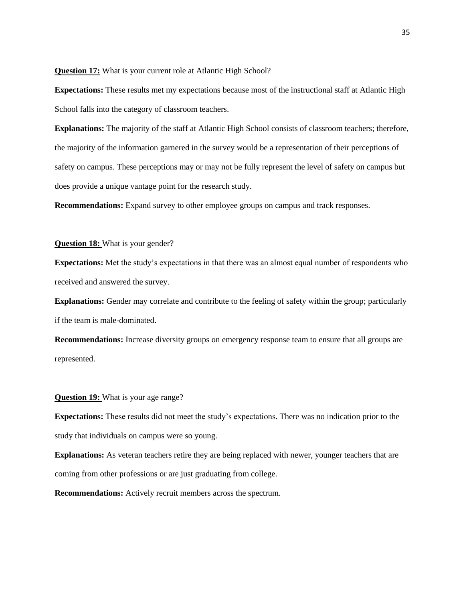## **Question 17:** What is your current role at Atlantic High School?

**Expectations:** These results met my expectations because most of the instructional staff at Atlantic High School falls into the category of classroom teachers.

**Explanations:** The majority of the staff at Atlantic High School consists of classroom teachers; therefore, the majority of the information garnered in the survey would be a representation of their perceptions of safety on campus. These perceptions may or may not be fully represent the level of safety on campus but does provide a unique vantage point for the research study.

**Recommendations:** Expand survey to other employee groups on campus and track responses.

## **Question 18:** What is your gender?

**Expectations:** Met the study's expectations in that there was an almost equal number of respondents who received and answered the survey.

**Explanations:** Gender may correlate and contribute to the feeling of safety within the group; particularly if the team is male-dominated.

**Recommendations:** Increase diversity groups on emergency response team to ensure that all groups are represented.

## **Question 19:** What is your age range?

**Expectations:** These results did not meet the study's expectations. There was no indication prior to the study that individuals on campus were so young.

**Explanations:** As veteran teachers retire they are being replaced with newer, younger teachers that are coming from other professions or are just graduating from college.

**Recommendations:** Actively recruit members across the spectrum.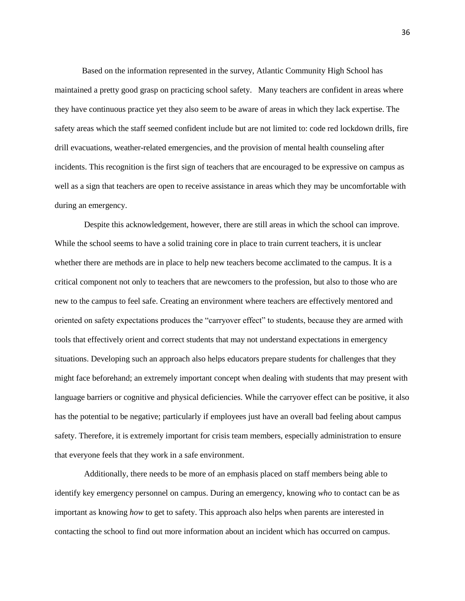Based on the information represented in the survey, Atlantic Community High School has maintained a pretty good grasp on practicing school safety. Many teachers are confident in areas where they have continuous practice yet they also seem to be aware of areas in which they lack expertise. The safety areas which the staff seemed confident include but are not limited to: code red lockdown drills, fire drill evacuations, weather-related emergencies, and the provision of mental health counseling after incidents. This recognition is the first sign of teachers that are encouraged to be expressive on campus as well as a sign that teachers are open to receive assistance in areas which they may be uncomfortable with during an emergency.

 Despite this acknowledgement, however, there are still areas in which the school can improve. While the school seems to have a solid training core in place to train current teachers, it is unclear whether there are methods are in place to help new teachers become acclimated to the campus. It is a critical component not only to teachers that are newcomers to the profession, but also to those who are new to the campus to feel safe. Creating an environment where teachers are effectively mentored and oriented on safety expectations produces the "carryover effect" to students, because they are armed with tools that effectively orient and correct students that may not understand expectations in emergency situations. Developing such an approach also helps educators prepare students for challenges that they might face beforehand; an extremely important concept when dealing with students that may present with language barriers or cognitive and physical deficiencies. While the carryover effect can be positive, it also has the potential to be negative; particularly if employees just have an overall bad feeling about campus safety. Therefore, it is extremely important for crisis team members, especially administration to ensure that everyone feels that they work in a safe environment.

 Additionally, there needs to be more of an emphasis placed on staff members being able to identify key emergency personnel on campus. During an emergency, knowing *who* to contact can be as important as knowing *how* to get to safety. This approach also helps when parents are interested in contacting the school to find out more information about an incident which has occurred on campus.

36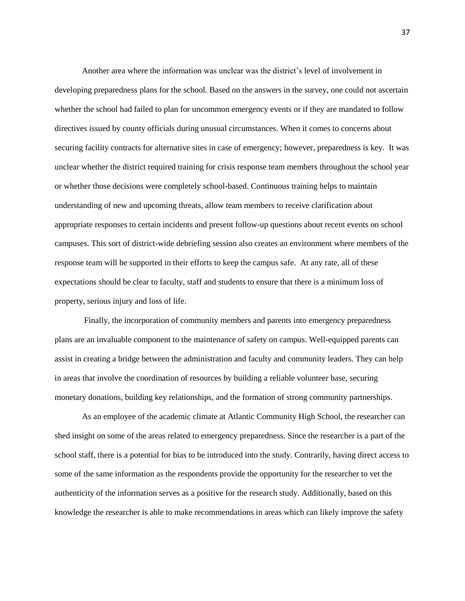Another area where the information was unclear was the district's level of involvement in developing preparedness plans for the school. Based on the answers in the survey, one could not ascertain whether the school had failed to plan for uncommon emergency events or if they are mandated to follow directives issued by county officials during unusual circumstances. When it comes to concerns about securing facility contracts for alternative sites in case of emergency; however, preparedness is key. It was unclear whether the district required training for crisis response team members throughout the school year or whether those decisions were completely school-based. Continuous training helps to maintain understanding of new and upcoming threats, allow team members to receive clarification about appropriate responses to certain incidents and present follow-up questions about recent events on school campuses. This sort of district-wide debriefing session also creates an environment where members of the response team will be supported in their efforts to keep the campus safe. At any rate, all of these expectations should be clear to faculty, staff and students to ensure that there is a minimum loss of property, serious injury and loss of life.

 Finally, the incorporation of community members and parents into emergency preparedness plans are an invaluable component to the maintenance of safety on campus. Well-equipped parents can assist in creating a bridge between the administration and faculty and community leaders. They can help in areas that involve the coordination of resources by building a reliable volunteer base, securing monetary donations, building key relationships, and the formation of strong community partnerships.

 As an employee of the academic climate at Atlantic Community High School, the researcher can shed insight on some of the areas related to emergency preparedness. Since the researcher is a part of the school staff, there is a potential for bias to be introduced into the study. Contrarily, having direct access to some of the same information as the respondents provide the opportunity for the researcher to vet the authenticity of the information serves as a positive for the research study. Additionally, based on this knowledge the researcher is able to make recommendations in areas which can likely improve the safety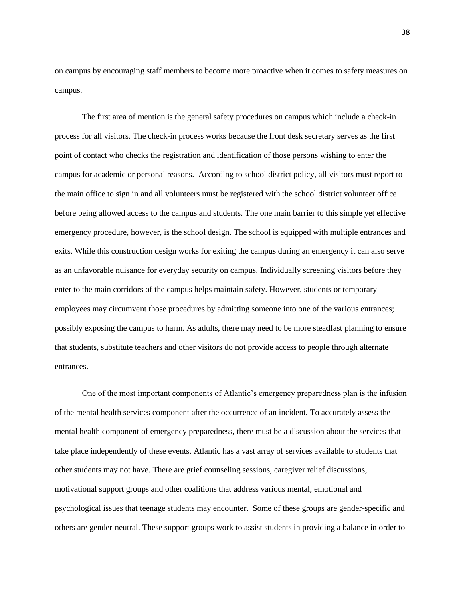on campus by encouraging staff members to become more proactive when it comes to safety measures on campus.

 The first area of mention is the general safety procedures on campus which include a check-in process for all visitors. The check-in process works because the front desk secretary serves as the first point of contact who checks the registration and identification of those persons wishing to enter the campus for academic or personal reasons. According to school district policy, all visitors must report to the main office to sign in and all volunteers must be registered with the school district volunteer office before being allowed access to the campus and students. The one main barrier to this simple yet effective emergency procedure, however, is the school design. The school is equipped with multiple entrances and exits. While this construction design works for exiting the campus during an emergency it can also serve as an unfavorable nuisance for everyday security on campus. Individually screening visitors before they enter to the main corridors of the campus helps maintain safety. However, students or temporary employees may circumvent those procedures by admitting someone into one of the various entrances; possibly exposing the campus to harm. As adults, there may need to be more steadfast planning to ensure that students, substitute teachers and other visitors do not provide access to people through alternate entrances.

 One of the most important components of Atlantic's emergency preparedness plan is the infusion of the mental health services component after the occurrence of an incident. To accurately assess the mental health component of emergency preparedness, there must be a discussion about the services that take place independently of these events. Atlantic has a vast array of services available to students that other students may not have. There are grief counseling sessions, caregiver relief discussions, motivational support groups and other coalitions that address various mental, emotional and psychological issues that teenage students may encounter. Some of these groups are gender-specific and others are gender-neutral. These support groups work to assist students in providing a balance in order to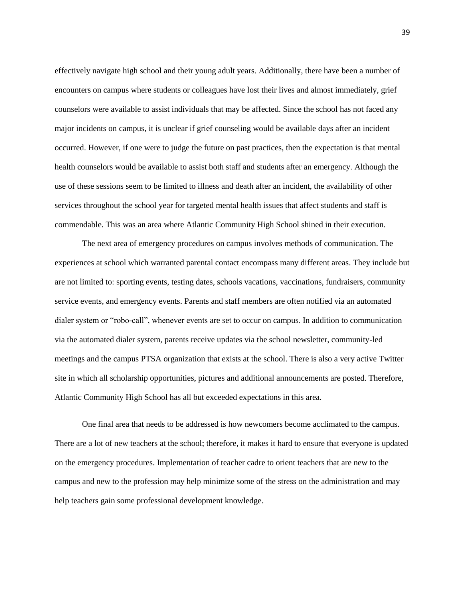effectively navigate high school and their young adult years. Additionally, there have been a number of encounters on campus where students or colleagues have lost their lives and almost immediately, grief counselors were available to assist individuals that may be affected. Since the school has not faced any major incidents on campus, it is unclear if grief counseling would be available days after an incident occurred. However, if one were to judge the future on past practices, then the expectation is that mental health counselors would be available to assist both staff and students after an emergency. Although the use of these sessions seem to be limited to illness and death after an incident, the availability of other services throughout the school year for targeted mental health issues that affect students and staff is commendable. This was an area where Atlantic Community High School shined in their execution.

 The next area of emergency procedures on campus involves methods of communication. The experiences at school which warranted parental contact encompass many different areas. They include but are not limited to: sporting events, testing dates, schools vacations, vaccinations, fundraisers, community service events, and emergency events. Parents and staff members are often notified via an automated dialer system or "robo-call", whenever events are set to occur on campus. In addition to communication via the automated dialer system, parents receive updates via the school newsletter, community-led meetings and the campus PTSA organization that exists at the school. There is also a very active Twitter site in which all scholarship opportunities, pictures and additional announcements are posted. Therefore, Atlantic Community High School has all but exceeded expectations in this area.

 One final area that needs to be addressed is how newcomers become acclimated to the campus. There are a lot of new teachers at the school; therefore, it makes it hard to ensure that everyone is updated on the emergency procedures. Implementation of teacher cadre to orient teachers that are new to the campus and new to the profession may help minimize some of the stress on the administration and may help teachers gain some professional development knowledge.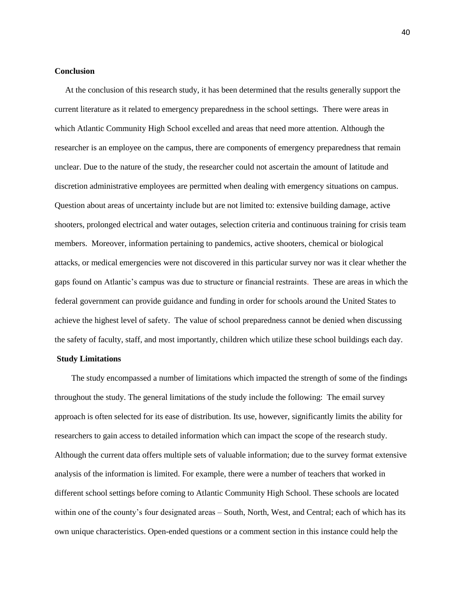## **Conclusion**

 At the conclusion of this research study, it has been determined that the results generally support the current literature as it related to emergency preparedness in the school settings. There were areas in which Atlantic Community High School excelled and areas that need more attention. Although the researcher is an employee on the campus, there are components of emergency preparedness that remain unclear. Due to the nature of the study, the researcher could not ascertain the amount of latitude and discretion administrative employees are permitted when dealing with emergency situations on campus. Question about areas of uncertainty include but are not limited to: extensive building damage, active shooters, prolonged electrical and water outages, selection criteria and continuous training for crisis team members. Moreover, information pertaining to pandemics, active shooters, chemical or biological attacks, or medical emergencies were not discovered in this particular survey nor was it clear whether the gaps found on Atlantic's campus was due to structure or financial restraints. These are areas in which the federal government can provide guidance and funding in order for schools around the United States to achieve the highest level of safety. The value of school preparedness cannot be denied when discussing the safety of faculty, staff, and most importantly, children which utilize these school buildings each day.

## **Study Limitations**

 The study encompassed a number of limitations which impacted the strength of some of the findings throughout the study. The general limitations of the study include the following: The email survey approach is often selected for its ease of distribution. Its use, however, significantly limits the ability for researchers to gain access to detailed information which can impact the scope of the research study. Although the current data offers multiple sets of valuable information; due to the survey format extensive analysis of the information is limited. For example, there were a number of teachers that worked in different school settings before coming to Atlantic Community High School. These schools are located within one of the county's four designated areas – South, North, West, and Central; each of which has its own unique characteristics. Open-ended questions or a comment section in this instance could help the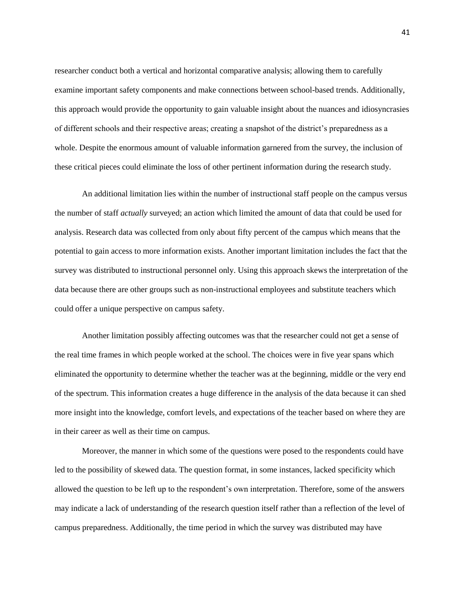researcher conduct both a vertical and horizontal comparative analysis; allowing them to carefully examine important safety components and make connections between school-based trends. Additionally, this approach would provide the opportunity to gain valuable insight about the nuances and idiosyncrasies of different schools and their respective areas; creating a snapshot of the district's preparedness as a whole. Despite the enormous amount of valuable information garnered from the survey, the inclusion of these critical pieces could eliminate the loss of other pertinent information during the research study.

 An additional limitation lies within the number of instructional staff people on the campus versus the number of staff *actually* surveyed; an action which limited the amount of data that could be used for analysis. Research data was collected from only about fifty percent of the campus which means that the potential to gain access to more information exists. Another important limitation includes the fact that the survey was distributed to instructional personnel only. Using this approach skews the interpretation of the data because there are other groups such as non-instructional employees and substitute teachers which could offer a unique perspective on campus safety.

 Another limitation possibly affecting outcomes was that the researcher could not get a sense of the real time frames in which people worked at the school. The choices were in five year spans which eliminated the opportunity to determine whether the teacher was at the beginning, middle or the very end of the spectrum. This information creates a huge difference in the analysis of the data because it can shed more insight into the knowledge, comfort levels, and expectations of the teacher based on where they are in their career as well as their time on campus.

 Moreover, the manner in which some of the questions were posed to the respondents could have led to the possibility of skewed data. The question format, in some instances, lacked specificity which allowed the question to be left up to the respondent's own interpretation. Therefore, some of the answers may indicate a lack of understanding of the research question itself rather than a reflection of the level of campus preparedness. Additionally, the time period in which the survey was distributed may have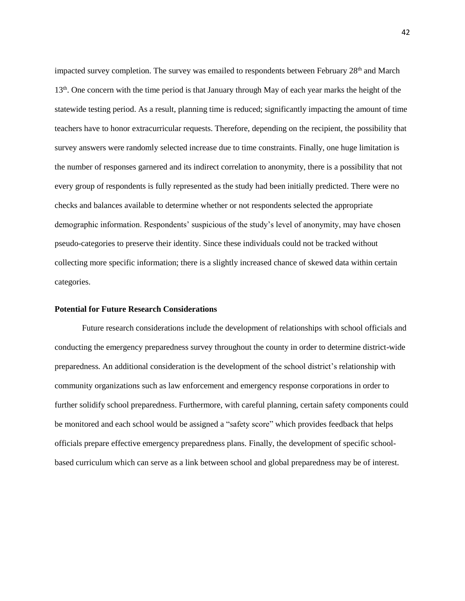impacted survey completion. The survey was emailed to respondents between February 28<sup>th</sup> and March 13<sup>th</sup>. One concern with the time period is that January through May of each year marks the height of the statewide testing period. As a result, planning time is reduced; significantly impacting the amount of time teachers have to honor extracurricular requests. Therefore, depending on the recipient, the possibility that survey answers were randomly selected increase due to time constraints. Finally, one huge limitation is the number of responses garnered and its indirect correlation to anonymity, there is a possibility that not every group of respondents is fully represented as the study had been initially predicted. There were no checks and balances available to determine whether or not respondents selected the appropriate demographic information. Respondents' suspicious of the study's level of anonymity, may have chosen pseudo-categories to preserve their identity. Since these individuals could not be tracked without collecting more specific information; there is a slightly increased chance of skewed data within certain categories.

## **Potential for Future Research Considerations**

 Future research considerations include the development of relationships with school officials and conducting the emergency preparedness survey throughout the county in order to determine district-wide preparedness. An additional consideration is the development of the school district's relationship with community organizations such as law enforcement and emergency response corporations in order to further solidify school preparedness. Furthermore, with careful planning, certain safety components could be monitored and each school would be assigned a "safety score" which provides feedback that helps officials prepare effective emergency preparedness plans. Finally, the development of specific schoolbased curriculum which can serve as a link between school and global preparedness may be of interest.

42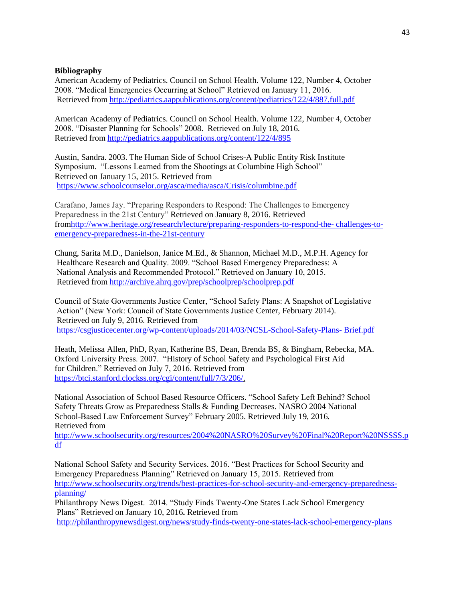## **Bibliography**

American Academy of Pediatrics. Council on School Health. Volume 122, Number 4, October 2008. "Medical Emergencies Occurring at School" Retrieved on January 11, 2016. Retrieved from<http://pediatrics.aappublications.org/content/pediatrics/122/4/887.full.pdf>

American Academy of Pediatrics. Council on School Health. Volume 122, Number 4, October 2008. "Disaster Planning for Schools" 2008. Retrieved on July 18, 2016. Retrieved from <http://pediatrics.aappublications.org/content/122/4/895>

Austin, Sandra. 2003. The Human Side of School Crises-A Public Entity Risk Institute Symposium. "Lessons Learned from the Shootings at Columbine High School" Retrieved on January 15, 2015. Retrieved from <https://www.schoolcounselor.org/asca/media/asca/Crisis/columbine.pdf>

Carafano, James Jay. "Preparing Responders to Respond: The Challenges to Emergency Preparedness in the 21st Century" Retrieved on January 8, 2016. Retrieved fro[mhttp://www.heritage.org/research/lecture/preparing-responders-to-respond-the-](http://www.heritage.org/research/lecture/preparing-responders-to-respond-the-%20challenges-to-emergency-preparedness-in-the-21st-century) challenges-to[emergency-preparedness-in-the-21st-century](http://www.heritage.org/research/lecture/preparing-responders-to-respond-the-%20challenges-to-emergency-preparedness-in-the-21st-century)

Chung, Sarita M.D., Danielson, Janice M.Ed., & Shannon, Michael M.D., M.P.H. Agency for Healthcare Research and Quality. 2009. "School Based Emergency Preparedness: A National Analysis and Recommended Protocol." Retrieved on January 10, 2015. Retrieved from <http://archive.ahrq.gov/prep/schoolprep/schoolprep.pdf>

Council of State Governments Justice Center, "School Safety Plans: A Snapshot of Legislative Action" (New York: Council of State Governments Justice Center, February 2014). Retrieved on July 9, 2016. Retrieved from [https://csgjusticecenter.org/wp-content/uploads/2014/03/NCSL-School-Safety-Plans-](https://csgjusticecenter.org/wp-content/uploads/2014/03/NCSL-School-Safety-Plans-%20Brief.pdf) Brief.pdf

Heath, Melissa Allen, PhD, Ryan, Katherine BS, Dean, Brenda BS, & Bingham, Rebecka, MA. Oxford University Press. 2007. "History of School Safety and Psychological First Aid for Children." Retrieved on July 7, 2016. Retrieved from [https://btci.stanford.clockss.org/cgi/content/full/7/3/206/.](https://btci.stanford.clockss.org/cgi/content/full/7/3/206/)

National Association of School Based Resource Officers. "School Safety Left Behind? School Safety Threats Grow as Preparedness Stalls & Funding Decreases. NASRO 2004 National School-Based Law Enforcement Survey" February 2005. Retrieved July 19, 2016. Retrieved from

[http://www.schoolsecurity.org/resources/2004%20NASRO%20Survey%20Final%20Report%20NSSSS.p](http://www.schoolsecurity.org/resources/2004%20NASRO%20Survey%20Final%20Report%20NSSSS.pdf) [df](http://www.schoolsecurity.org/resources/2004%20NASRO%20Survey%20Final%20Report%20NSSSS.pdf)

National School Safety and Security Services. 2016. "Best Practices for School Security and Emergency Preparedness Planning" Retrieved on January 15, 2015. Retrieved from [http://www.schoolsecurity.org/trends/best-practices-for-school-security-and-emergency-preparedness](http://www.schoolsecurity.org/trends/best-practices-for-school-security-and-emergency-preparedness-planning/)[planning/](http://www.schoolsecurity.org/trends/best-practices-for-school-security-and-emergency-preparedness-planning/)

Philanthropy News Digest. 2014. "Study Finds Twenty-One States Lack School Emergency Plans" Retrieved on January 10, 2016**.** Retrieved from

<http://philanthropynewsdigest.org/news/study-finds-twenty-one-states-lack-school-emergency-plans>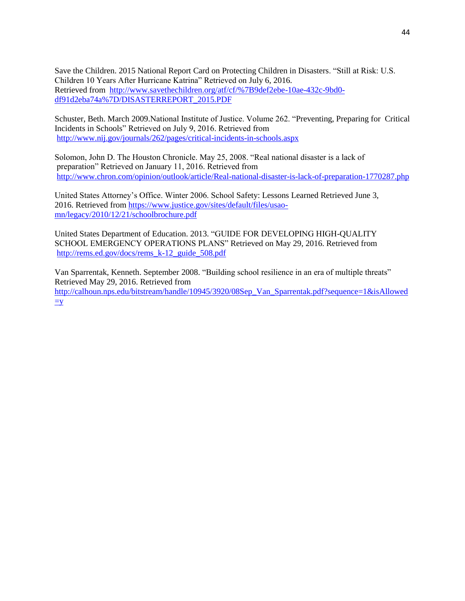Save the Children. 2015 National Report Card on Protecting Children in Disasters. "Still at Risk: U.S. Children 10 Years After Hurricane Katrina" Retrieved on July 6, 2016. Retrieved from [http://www.savethechildren.org/atf/cf/%7B9def2ebe-10ae-432c-9bd0](http://www.savethechildren.org/atf/cf/%7B9def2ebe-10ae-432c-9bd0-df91d2eba74a%7D/DISASTERREPORT_2015.PDF) [df91d2eba74a%7D/DISASTERREPORT\\_2015.PDF](http://www.savethechildren.org/atf/cf/%7B9def2ebe-10ae-432c-9bd0-df91d2eba74a%7D/DISASTERREPORT_2015.PDF)

Schuster, Beth. March 2009.National Institute of Justice. Volume 262. "Preventing, Preparing for Critical Incidents in Schools" Retrieved on July 9, 2016. Retrieved from <http://www.nij.gov/journals/262/pages/critical-incidents-in-schools.aspx>

Solomon, John D. The Houston Chronicle. May 25, 2008. "Real national disaster is a lack of preparation" Retrieved on January 11, 2016. Retrieved from <http://www.chron.com/opinion/outlook/article/Real-national-disaster-is-lack-of-preparation-1770287.php>

United States Attorney's Office. Winter 2006. School Safety: Lessons Learned Retrieved June 3, 2016. Retrieved from [https://www.justice.gov/sites/default/files/usao](https://www.justice.gov/sites/default/files/usao-mn/legacy/2010/12/21/schoolbrochure.pdf)[mn/legacy/2010/12/21/schoolbrochure.pdf](https://www.justice.gov/sites/default/files/usao-mn/legacy/2010/12/21/schoolbrochure.pdf)

United States Department of Education. 2013. "GUIDE FOR DEVELOPING HIGH-QUALITY SCHOOL EMERGENCY OPERATIONS PLANS" Retrieved on May 29, 2016. Retrieved from [http://rems.ed.gov/docs/rems\\_k-12\\_guide\\_508.pdf](http://rems.ed.gov/docs/rems_k-12_guide_508.pdf)

Van Sparrentak, Kenneth. September 2008. "Building school resilience in an era of multiple threats" Retrieved May 29, 2016. Retrieved from [http://calhoun.nps.edu/bitstream/handle/10945/3920/08Sep\\_Van\\_Sparrentak.pdf?sequence=1&isAllowed](http://calhoun.nps.edu/bitstream/handle/10945/3920/08Sep_Van_Sparrentak.pdf?sequence=1&isAllowed=y)  $\equiv$ y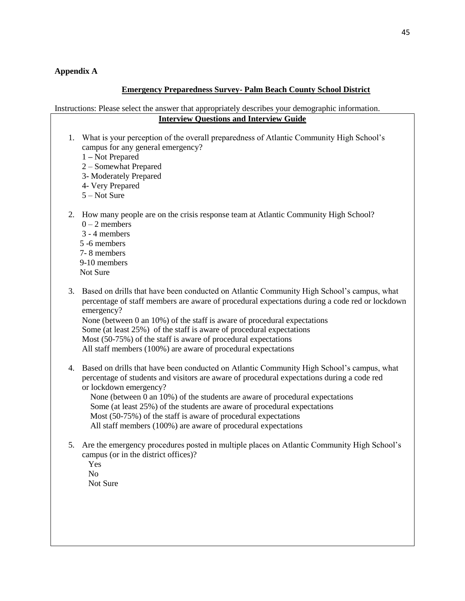## **Appendix A**

## **Emergency Preparedness Survey- Palm Beach County School District**

Instructions: Please select the answer that appropriately describes your demographic information. **Interview Questions and Interview Guide** 

- 1. What is your perception of the overall preparedness of Atlantic Community High School's campus for any general emergency?
	- 1 **–** Not Prepared
	- 2 Somewhat Prepared
	- 3- Moderately Prepared
	- 4- Very Prepared
	- 5 Not Sure
- 2. How many people are on the crisis response team at Atlantic Community High School?  $0 - 2$  members
	- 3 4 members 5 -6 members 7- 8 members 9-10 members Not Sure
- 3. Based on drills that have been conducted on Atlantic Community High School's campus, what percentage of staff members are aware of procedural expectations during a code red or lockdown emergency? None (between 0 an 10%) of the staff is aware of procedural expectations Some (at least 25%) of the staff is aware of procedural expectations Most (50-75%) of the staff is aware of procedural expectations
	- All staff members (100%) are aware of procedural expectations
- 4. Based on drills that have been conducted on Atlantic Community High School's campus, what percentage of students and visitors are aware of procedural expectations during a code red or lockdown emergency?

 None (between 0 an 10%) of the students are aware of procedural expectations Some (at least 25%) of the students are aware of procedural expectations Most (50-75%) of the staff is aware of procedural expectations All staff members (100%) are aware of procedural expectations

- 5. Are the emergency procedures posted in multiple places on Atlantic Community High School's campus (or in the district offices)?
	- Yes No Not Sure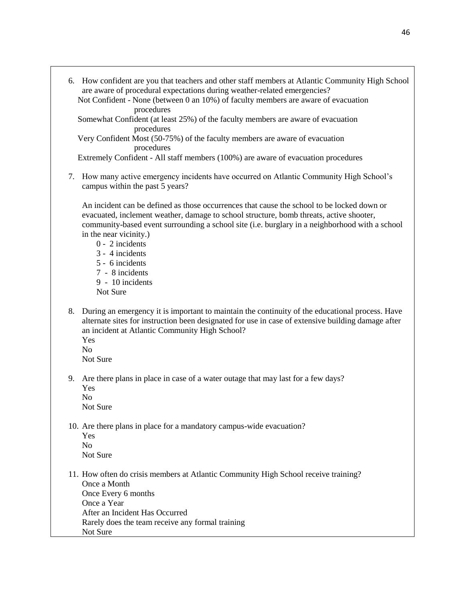6. How confident are you that teachers and other staff members at Atlantic Community High School are aware of procedural expectations during weather-related emergencies? Not Confident - None (between 0 an 10%) of faculty members are aware of evacuation procedures Somewhat Confident (at least 25%) of the faculty members are aware of evacuation procedures Very Confident Most (50-75%) of the faculty members are aware of evacuation procedures Extremely Confident - All staff members (100%) are aware of evacuation procedures 7. How many active emergency incidents have occurred on Atlantic Community High School's campus within the past 5 years? An incident can be defined as those occurrences that cause the school to be locked down or evacuated, inclement weather, damage to school structure, bomb threats, active shooter, community-based event surrounding a school site (i.e. burglary in a neighborhood with a school in the near vicinity.) 0 - 2 incidents 3 - 4 incidents 5 - 6 incidents 7 - 8 incidents 9 - 10 incidents Not Sure 8. During an emergency it is important to maintain the continuity of the educational process. Have alternate sites for instruction been designated for use in case of extensive building damage after an incident at Atlantic Community High School? Yes  $N<sub>0</sub>$ Not Sure 9. Are there plans in place in case of a water outage that may last for a few days? Yes No Not Sure 10. Are there plans in place for a mandatory campus-wide evacuation? Yes No Not Sure 11. How often do crisis members at Atlantic Community High School receive training? Once a Month Once Every 6 months Once a Year After an Incident Has Occurred Rarely does the team receive any formal training Not Sure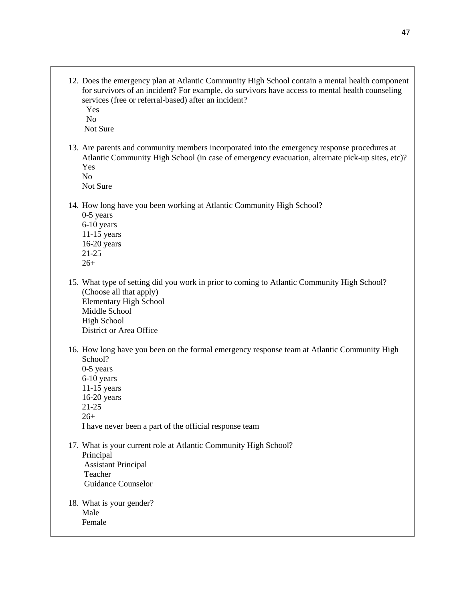12. Does the emergency plan at Atlantic Community High School contain a mental health component for survivors of an incident? For example, do survivors have access to mental health counseling services (free or referral-based) after an incident?

 Yes No

Not Sure

13. Are parents and community members incorporated into the emergency response procedures at Atlantic Community High School (in case of emergency evacuation, alternate pick-up sites, etc)? Yes

No

Not Sure

- 14. How long have you been working at Atlantic Community High School?
	- 0-5 years 6-10 years 11-15 years 16-20 years 21-25 26+
- 15. What type of setting did you work in prior to coming to Atlantic Community High School? (Choose all that apply) Elementary High School Middle School High School District or Area Office
- 16. How long have you been on the formal emergency response team at Atlantic Community High School? 0-5 years 6-10 years 11-15 years 16-20 years 21-25 26+

I have never been a part of the official response team

- 17. What is your current role at Atlantic Community High School? Principal Assistant Principal Teacher Guidance Counselor
- 18. What is your gender? Male Female